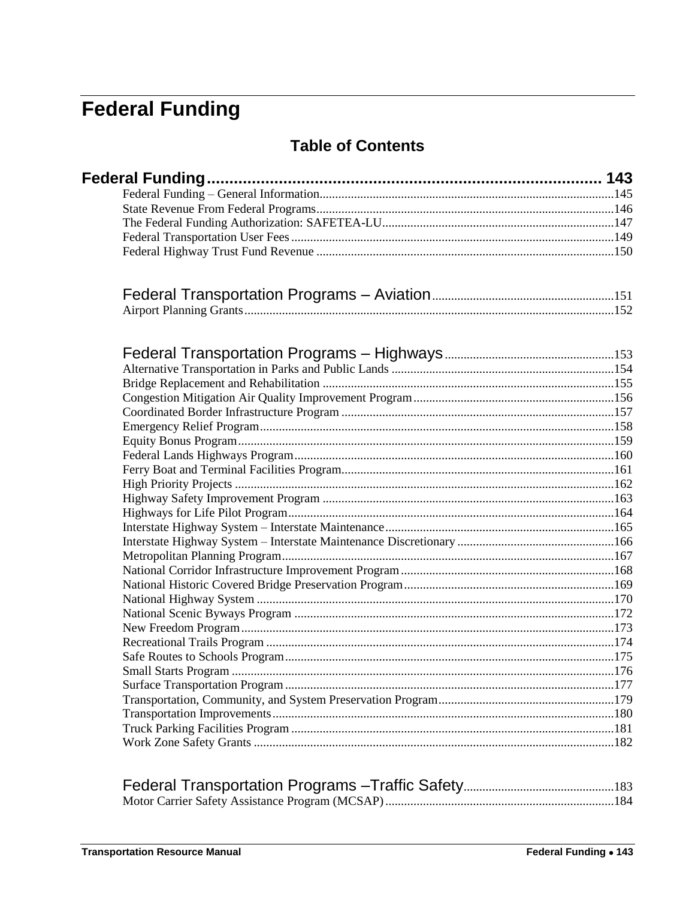# <span id="page-0-0"></span>**Federal Funding**

## **Table of Contents**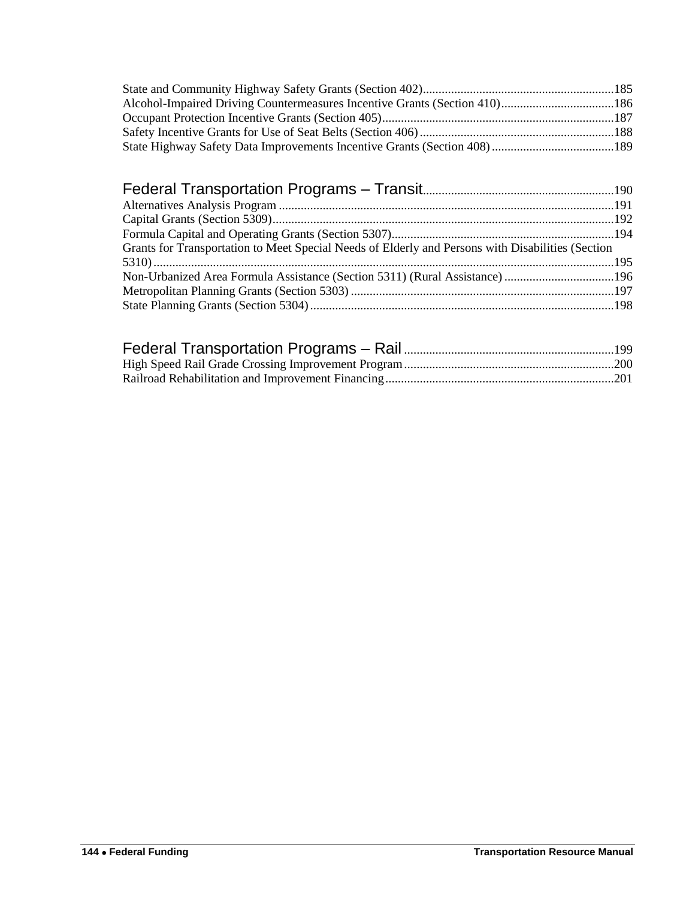| Grants for Transportation to Meet Special Needs of Elderly and Persons with Disabilities (Section |  |
|---------------------------------------------------------------------------------------------------|--|
|                                                                                                   |  |
|                                                                                                   |  |
|                                                                                                   |  |
|                                                                                                   |  |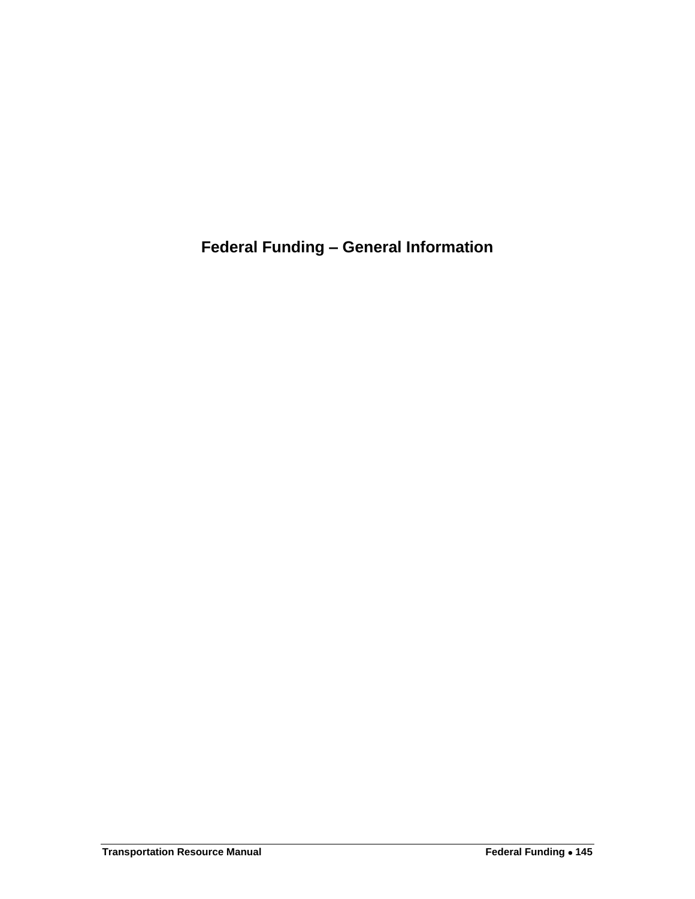<span id="page-2-0"></span>**Federal Funding – General Information**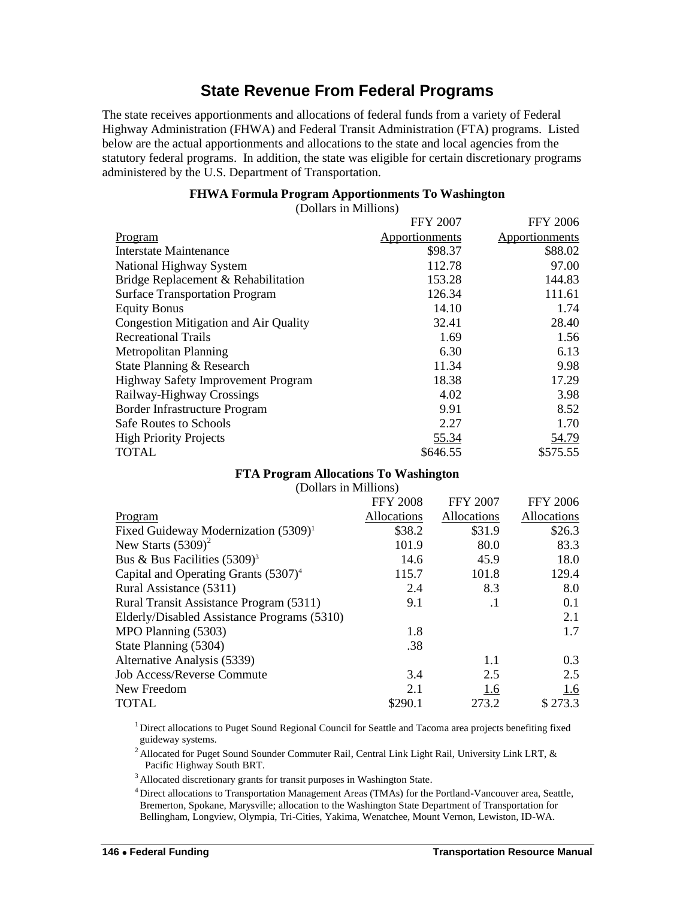## **State Revenue From Federal Programs**

<span id="page-3-0"></span>The state receives apportionments and allocations of federal funds from a variety of Federal Highway Administration (FHWA) and Federal Transit Administration (FTA) programs. Listed below are the actual apportionments and allocations to the state and local agencies from the statutory federal programs. In addition, the state was eligible for certain discretionary programs administered by the U.S. Department of Transportation.

### **FHWA Formula Program Apportionments To Washington**

(Dollars in Millions)

|                                           | <b>FFY 2007</b> | <b>FFY 2006</b> |
|-------------------------------------------|-----------------|-----------------|
| Program                                   | Apportionments  | Apportionments  |
| Interstate Maintenance                    | \$98.37         | \$88.02         |
| National Highway System                   | 112.78          | 97.00           |
| Bridge Replacement & Rehabilitation       | 153.28          | 144.83          |
| <b>Surface Transportation Program</b>     | 126.34          | 111.61          |
| <b>Equity Bonus</b>                       | 14.10           | 1.74            |
| Congestion Mitigation and Air Quality     | 32.41           | 28.40           |
| <b>Recreational Trails</b>                | 1.69            | 1.56            |
| Metropolitan Planning                     | 6.30            | 6.13            |
| State Planning & Research                 | 11.34           | 9.98            |
| <b>Highway Safety Improvement Program</b> | 18.38           | 17.29           |
| Railway-Highway Crossings                 | 4.02            | 3.98            |
| Border Infrastructure Program             | 9.91            | 8.52            |
| Safe Routes to Schools                    | 2.27            | 1.70            |
| <b>High Priority Projects</b>             | 55.34           | 54.79           |
| <b>TOTAL</b>                              | \$646.55        | \$575.55        |

### **FTA Program Allocations To Washington**

(Dollars in Millions)

|                                             | <b>FFY 2008</b>    | <b>FFY 2007</b> | <b>FFY 2006</b> |
|---------------------------------------------|--------------------|-----------------|-----------------|
| Program                                     | <b>Allocations</b> | Allocations     | Allocations     |
| Fixed Guideway Modernization $(5309)^1$     | \$38.2             | \$31.9          | \$26.3          |
| New Starts $(5309)^2$                       | 101.9              | 80.0            | 83.3            |
| Bus & Bus Facilities $(5309)^3$             | 14.6               | 45.9            | 18.0            |
| Capital and Operating Grants $(5307)^4$     | 115.7              | 101.8           | 129.4           |
| Rural Assistance (5311)                     | 2.4                | 8.3             | 8.0             |
| Rural Transit Assistance Program (5311)     | 9.1                | $\cdot$ 1       | 0.1             |
| Elderly/Disabled Assistance Programs (5310) |                    |                 | 2.1             |
| MPO Planning (5303)                         | 1.8                |                 | 1.7             |
| State Planning (5304)                       | .38                |                 |                 |
| Alternative Analysis (5339)                 |                    | 1.1             | 0.3             |
| <b>Job Access/Reverse Commute</b>           | 3.4                | 2.5             | 2.5             |
| New Freedom                                 | 2.1                | 1.6             | 1.6             |
| <b>TOTAL</b>                                | \$290.1            | 273.2           | \$273.3         |

<sup>1</sup> Direct allocations to Puget Sound Regional Council for Seattle and Tacoma area projects benefiting fixed guideway systems.

<sup>2</sup> Allocated for Puget Sound Sounder Commuter Rail, Central Link Light Rail, University Link LRT,  $\&$ Pacific Highway South BRT.

<sup>3</sup> Allocated discretionary grants for transit purposes in Washington State.

<sup>4</sup> Direct allocations to Transportation Management Areas (TMAs) for the Portland-Vancouver area, Seattle, Bremerton, Spokane, Marysville; allocation to the Washington State Department of Transportation for Bellingham, Longview, Olympia, Tri-Cities, Yakima, Wenatchee, Mount Vernon, Lewiston, ID-WA.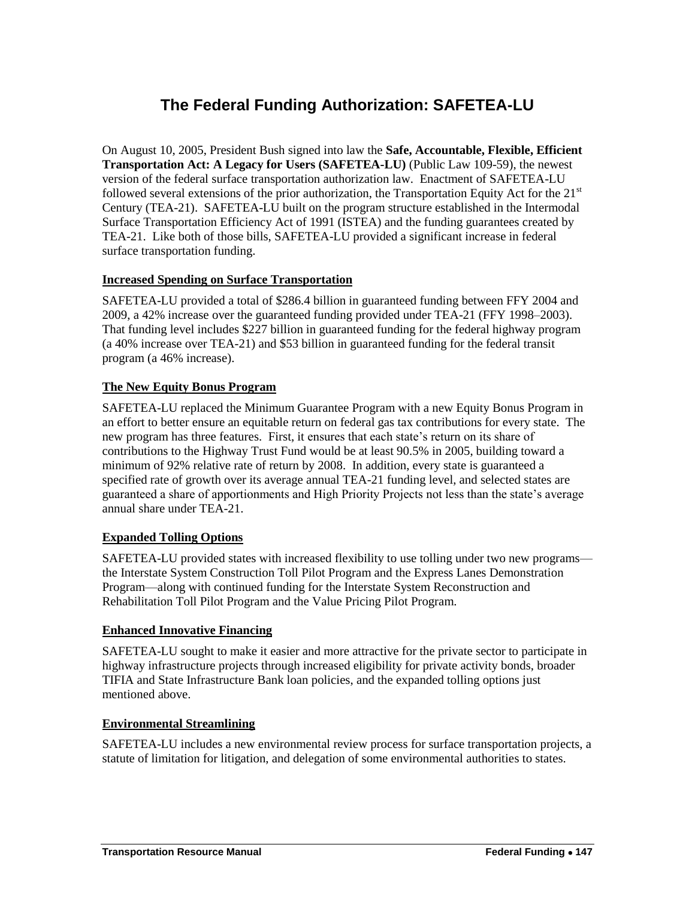## **The Federal Funding Authorization: SAFETEA-LU**

<span id="page-4-0"></span>On August 10, 2005, President Bush signed into law the **Safe, Accountable, Flexible, Efficient Transportation Act: A Legacy for Users (SAFETEA-LU)** (Public Law 109-59), the newest version of the federal surface transportation authorization law. Enactment of SAFETEA-LU followed several extensions of the prior authorization, the Transportation Equity Act for the  $21<sup>st</sup>$ Century (TEA-21). SAFETEA-LU built on the program structure established in the Intermodal Surface Transportation Efficiency Act of 1991 (ISTEA) and the funding guarantees created by TEA-21. Like both of those bills, SAFETEA-LU provided a significant increase in federal surface transportation funding.

### **Increased Spending on Surface Transportation**

SAFETEA-LU provided a total of \$286.4 billion in guaranteed funding between FFY 2004 and 2009, a 42% increase over the guaranteed funding provided under TEA-21 (FFY 1998–2003). That funding level includes \$227 billion in guaranteed funding for the federal highway program (a 40% increase over TEA-21) and \$53 billion in guaranteed funding for the federal transit program (a 46% increase).

### **The New Equity Bonus Program**

SAFETEA-LU replaced the Minimum Guarantee Program with a new Equity Bonus Program in an effort to better ensure an equitable return on federal gas tax contributions for every state. The new program has three features. First, it ensures that each state's return on its share of contributions to the Highway Trust Fund would be at least 90.5% in 2005, building toward a minimum of 92% relative rate of return by 2008. In addition, every state is guaranteed a specified rate of growth over its average annual TEA-21 funding level, and selected states are guaranteed a share of apportionments and High Priority Projects not less than the state's average annual share under TEA-21.

### **Expanded Tolling Options**

SAFETEA-LU provided states with increased flexibility to use tolling under two new programs the Interstate System Construction Toll Pilot Program and the Express Lanes Demonstration Program—along with continued funding for the Interstate System Reconstruction and Rehabilitation Toll Pilot Program and the Value Pricing Pilot Program.

### **Enhanced Innovative Financing**

SAFETEA-LU sought to make it easier and more attractive for the private sector to participate in highway infrastructure projects through increased eligibility for private activity bonds, broader TIFIA and State Infrastructure Bank loan policies, and the expanded tolling options just mentioned above.

### **Environmental Streamlining**

SAFETEA-LU includes a new environmental review process for surface transportation projects, a statute of limitation for litigation, and delegation of some environmental authorities to states.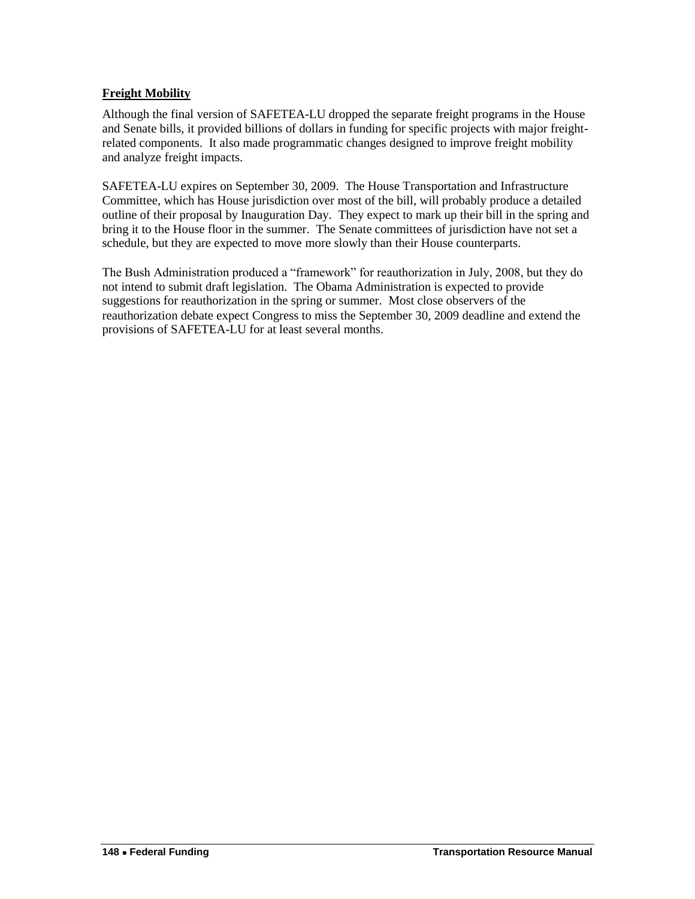### **Freight Mobility**

Although the final version of SAFETEA-LU dropped the separate freight programs in the House and Senate bills, it provided billions of dollars in funding for specific projects with major freightrelated components. It also made programmatic changes designed to improve freight mobility and analyze freight impacts.

SAFETEA-LU expires on September 30, 2009. The House Transportation and Infrastructure Committee, which has House jurisdiction over most of the bill, will probably produce a detailed outline of their proposal by Inauguration Day. They expect to mark up their bill in the spring and bring it to the House floor in the summer. The Senate committees of jurisdiction have not set a schedule, but they are expected to move more slowly than their House counterparts.

The Bush Administration produced a "framework" for reauthorization in July, 2008, but they do not intend to submit draft legislation. The Obama Administration is expected to provide suggestions for reauthorization in the spring or summer. Most close observers of the reauthorization debate expect Congress to miss the September 30, 2009 deadline and extend the provisions of SAFETEA-LU for at least several months.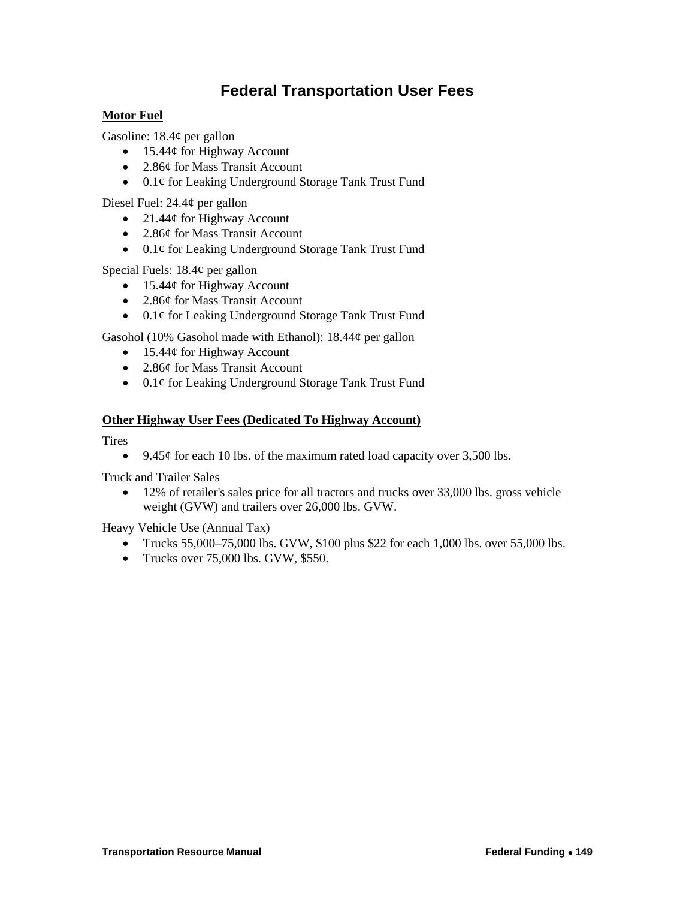## **Federal Transportation User Fees**

### <span id="page-6-0"></span>**Motor Fuel**

Gasoline: 18.4¢ per gallon

- $\bullet$  15.44¢ for Highway Account
- 2.86¢ for Mass Transit Account
- 0.1¢ for Leaking Underground Storage Tank Trust Fund

Diesel Fuel: 24.4¢ per gallon

- 21.44 $\phi$  for Highway Account
- 2.86¢ for Mass Transit Account
- 0.1¢ for Leaking Underground Storage Tank Trust Fund

Special Fuels: 18.4¢ per gallon

- $\bullet$  15.44¢ for Highway Account
- 2.86¢ for Mass Transit Account
- 0.1¢ for Leaking Underground Storage Tank Trust Fund

Gasohol (10% Gasohol made with Ethanol): 18.44¢ per gallon

- $\bullet$  15.44¢ for Highway Account
- 2.86¢ for Mass Transit Account
- 0.1¢ for Leaking Underground Storage Tank Trust Fund

### **Other Highway User Fees (Dedicated To Highway Account)**

**Tires** 

9.45 $\phi$  for each 10 lbs. of the maximum rated load capacity over 3,500 lbs.

Truck and Trailer Sales

 12% of retailer's sales price for all tractors and trucks over 33,000 lbs. gross vehicle weight (GVW) and trailers over 26,000 lbs. GVW.

Heavy Vehicle Use (Annual Tax)

- Trucks 55,000–75,000 lbs. GVW, \$100 plus \$22 for each 1,000 lbs. over 55,000 lbs.
- Trucks over  $75,000$  lbs. GVW, \$550.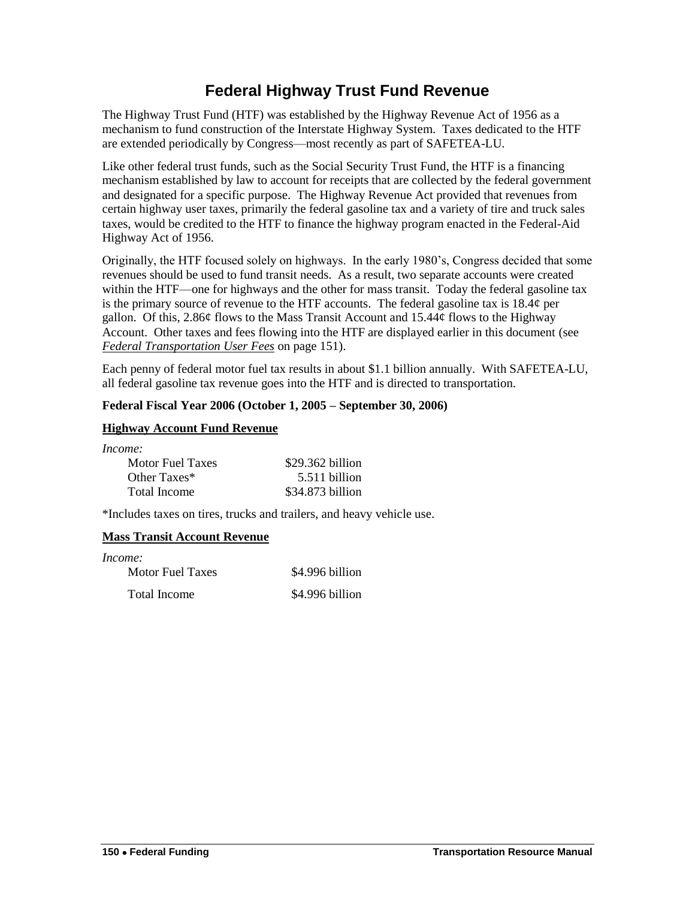## **Federal Highway Trust Fund Revenue**

<span id="page-7-0"></span>The Highway Trust Fund (HTF) was established by the Highway Revenue Act of 1956 as a mechanism to fund construction of the Interstate Highway System. Taxes dedicated to the HTF are extended periodically by Congress—most recently as part of SAFETEA-LU.

Like other federal trust funds, such as the Social Security Trust Fund, the HTF is a financing mechanism established by law to account for receipts that are collected by the federal government and designated for a specific purpose. The Highway Revenue Act provided that revenues from certain highway user taxes, primarily the federal gasoline tax and a variety of tire and truck sales taxes, would be credited to the HTF to finance the highway program enacted in the Federal-Aid Highway Act of 1956.

Originally, the HTF focused solely on highways. In the early 1980's, Congress decided that some revenues should be used to fund transit needs. As a result, two separate accounts were created within the HTF—one for highways and the other for mass transit. Today the federal gasoline tax is the primary source of revenue to the HTF accounts. The federal gasoline tax is 18.4¢ per gallon. Of this, 2.86 $\phi$  flows to the Mass Transit Account and 15.44 $\phi$  flows to the Highway Account. Other taxes and fees flowing into the HTF are displayed earlier in this document (see *[Federal Transportation User Fees](#page-6-0)* on page 151).

Each penny of federal motor fuel tax results in about \$1.1 billion annually. With SAFETEA-LU, all federal gasoline tax revenue goes into the HTF and is directed to transportation.

### **Federal Fiscal Year 2006 (October 1, 2005 – September 30, 2006)**

### **Highway Account Fund Revenue**

*Income:*

| .                |                   |
|------------------|-------------------|
| Motor Fuel Taxes | $$29.362$ billion |
| Other Taxes*     | 5.511 billion     |
| Total Income     | \$34,873 billion  |

\*Includes taxes on tires, trucks and trailers, and heavy vehicle use.

### **Mass Transit Account Revenue**

| Income:          |                 |
|------------------|-----------------|
| Motor Fuel Taxes | \$4.996 billion |
| Total Income     | \$4.996 billion |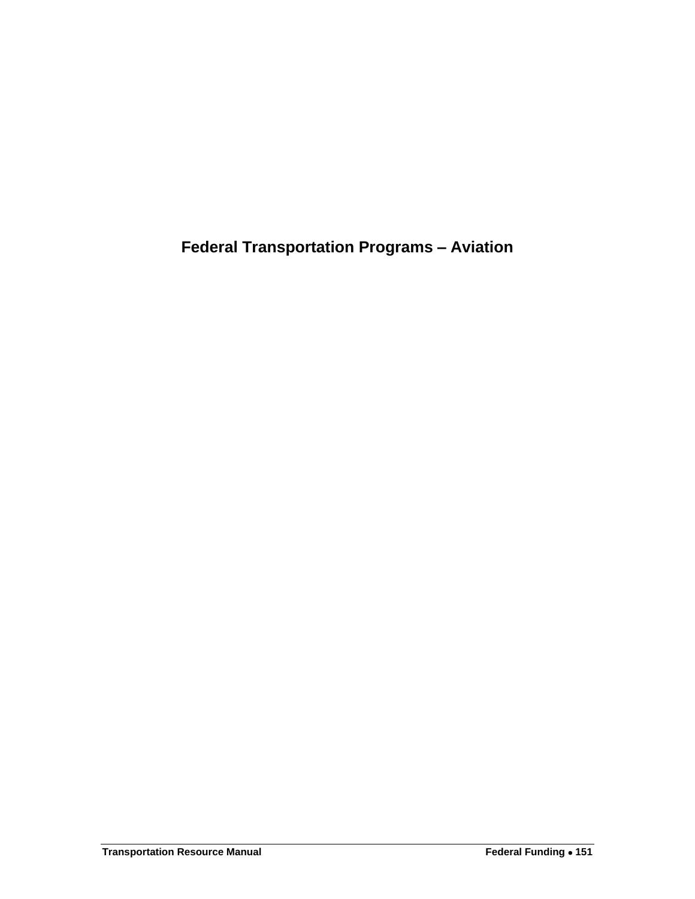<span id="page-8-0"></span>**Federal Transportation Programs – Aviation**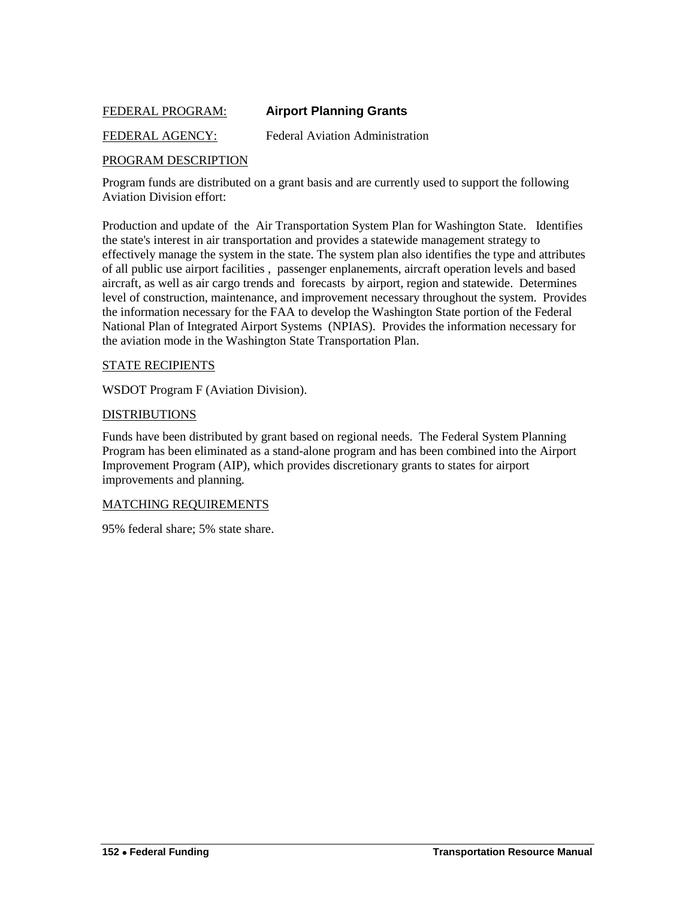### <span id="page-9-0"></span>FEDERAL PROGRAM: **Airport Planning Grants**

### FEDERAL AGENCY: Federal Aviation Administration

### PROGRAM DESCRIPTION

Program funds are distributed on a grant basis and are currently used to support the following Aviation Division effort:

Production and update of the Air Transportation System Plan for Washington State. Identifies the state's interest in air transportation and provides a statewide management strategy to effectively manage the system in the state. The system plan also identifies the type and attributes of all public use airport facilities , passenger enplanements, aircraft operation levels and based aircraft, as well as air cargo trends and forecasts by airport, region and statewide. Determines level of construction, maintenance, and improvement necessary throughout the system. Provides the information necessary for the FAA to develop the Washington State portion of the Federal National Plan of Integrated Airport Systems (NPIAS). Provides the information necessary for the aviation mode in the Washington State Transportation Plan.

### STATE RECIPIENTS

WSDOT Program F (Aviation Division).

#### DISTRIBUTIONS

Funds have been distributed by grant based on regional needs. The Federal System Planning Program has been eliminated as a stand-alone program and has been combined into the Airport Improvement Program (AIP), which provides discretionary grants to states for airport improvements and planning.

#### MATCHING REQUIREMENTS

95% federal share; 5% state share.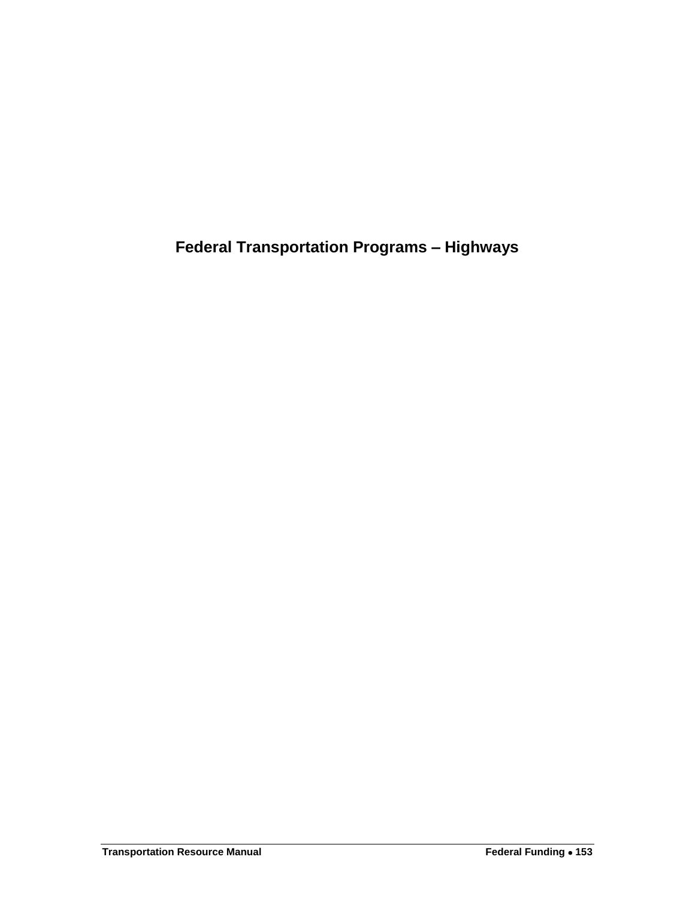<span id="page-10-0"></span>**Federal Transportation Programs – Highways**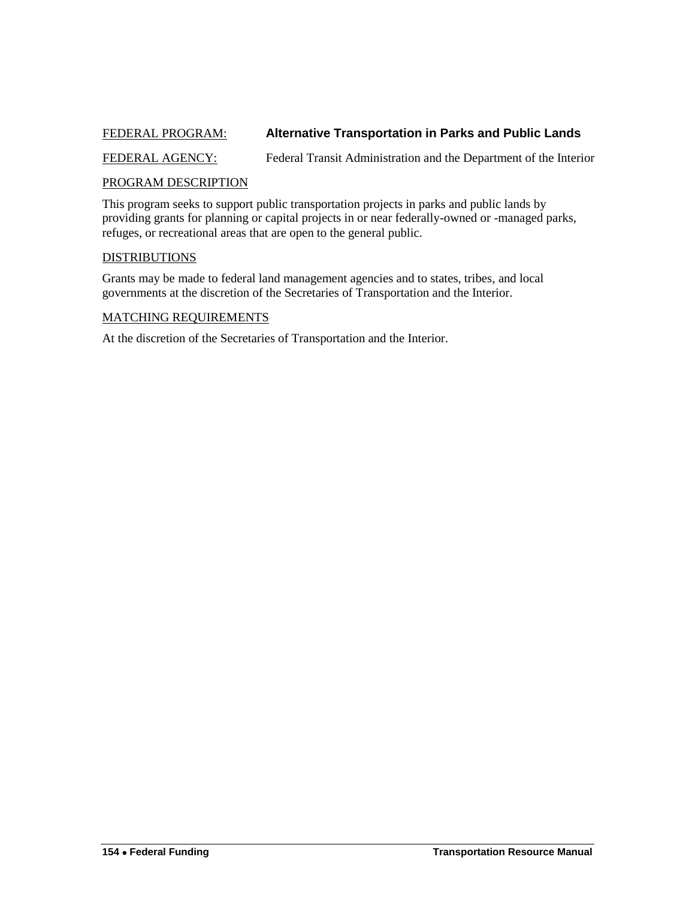### <span id="page-11-0"></span>FEDERAL PROGRAM: **Alternative Transportation in Parks and Public Lands**

FEDERAL AGENCY: Federal Transit Administration and the Department of the Interior

#### PROGRAM DESCRIPTION

This program seeks to support public transportation projects in parks and public lands by providing grants for planning or capital projects in or near federally-owned or -managed parks, refuges, or recreational areas that are open to the general public.

### DISTRIBUTIONS

Grants may be made to federal land management agencies and to states, tribes, and local governments at the discretion of the Secretaries of Transportation and the Interior.

#### MATCHING REQUIREMENTS

At the discretion of the Secretaries of Transportation and the Interior.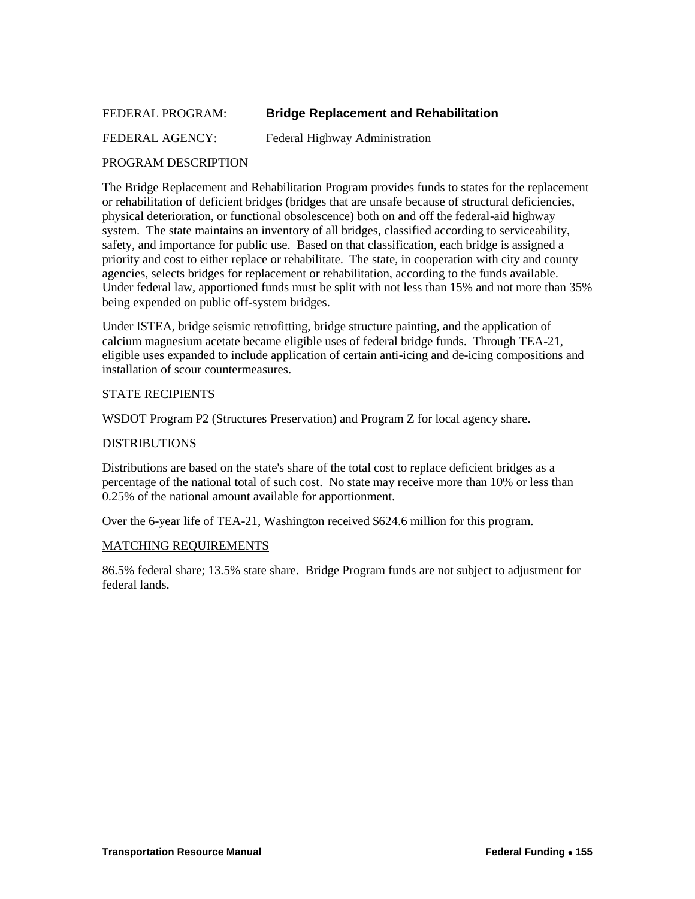### <span id="page-12-0"></span>FEDERAL PROGRAM: **Bridge Replacement and Rehabilitation**

### FEDERAL AGENCY: Federal Highway Administration

### PROGRAM DESCRIPTION

The Bridge Replacement and Rehabilitation Program provides funds to states for the replacement or rehabilitation of deficient bridges (bridges that are unsafe because of structural deficiencies, physical deterioration, or functional obsolescence) both on and off the federal-aid highway system. The state maintains an inventory of all bridges, classified according to serviceability, safety, and importance for public use. Based on that classification, each bridge is assigned a priority and cost to either replace or rehabilitate. The state, in cooperation with city and county agencies, selects bridges for replacement or rehabilitation, according to the funds available. Under federal law, apportioned funds must be split with not less than 15% and not more than 35% being expended on public off-system bridges.

Under ISTEA, bridge seismic retrofitting, bridge structure painting, and the application of calcium magnesium acetate became eligible uses of federal bridge funds. Through TEA-21, eligible uses expanded to include application of certain anti-icing and de-icing compositions and installation of scour countermeasures.

### STATE RECIPIENTS

WSDOT Program P2 (Structures Preservation) and Program Z for local agency share.

#### DISTRIBUTIONS

Distributions are based on the state's share of the total cost to replace deficient bridges as a percentage of the national total of such cost. No state may receive more than 10% or less than 0.25% of the national amount available for apportionment.

Over the 6-year life of TEA-21, Washington received \$624.6 million for this program.

### MATCHING REQUIREMENTS

86.5% federal share; 13.5% state share. Bridge Program funds are not subject to adjustment for federal lands.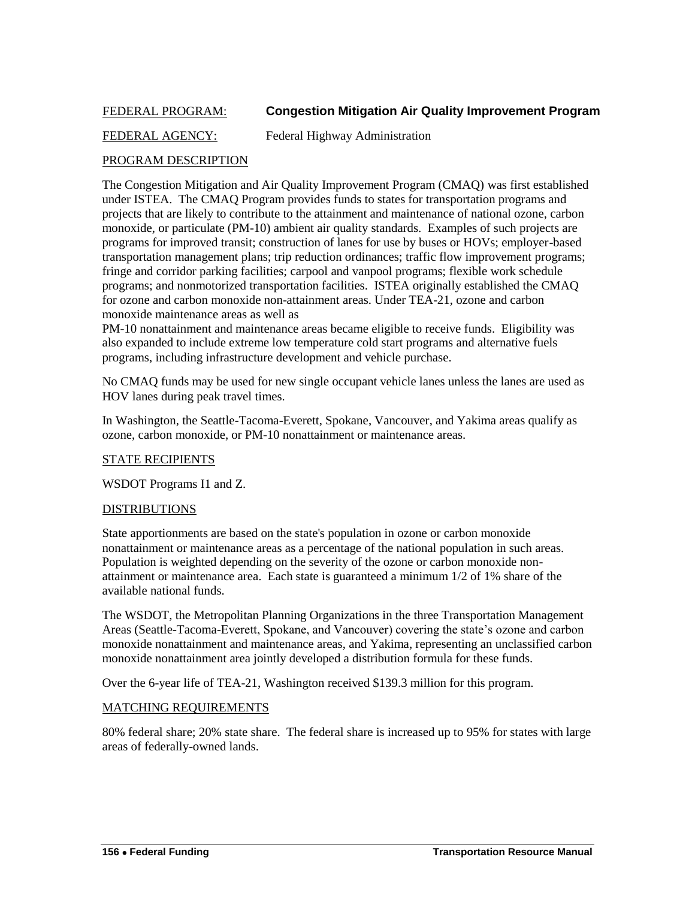### <span id="page-13-0"></span>FEDERAL PROGRAM: **Congestion Mitigation Air Quality Improvement Program**

### FEDERAL AGENCY: Federal Highway Administration

### PROGRAM DESCRIPTION

The Congestion Mitigation and Air Quality Improvement Program (CMAQ) was first established under ISTEA. The CMAQ Program provides funds to states for transportation programs and projects that are likely to contribute to the attainment and maintenance of national ozone, carbon monoxide, or particulate (PM-10) ambient air quality standards. Examples of such projects are programs for improved transit; construction of lanes for use by buses or HOVs; employer-based transportation management plans; trip reduction ordinances; traffic flow improvement programs; fringe and corridor parking facilities; carpool and vanpool programs; flexible work schedule programs; and nonmotorized transportation facilities. ISTEA originally established the CMAQ for ozone and carbon monoxide non-attainment areas. Under TEA-21, ozone and carbon monoxide maintenance areas as well as

PM-10 nonattainment and maintenance areas became eligible to receive funds. Eligibility was also expanded to include extreme low temperature cold start programs and alternative fuels programs, including infrastructure development and vehicle purchase.

No CMAQ funds may be used for new single occupant vehicle lanes unless the lanes are used as HOV lanes during peak travel times.

In Washington, the Seattle-Tacoma-Everett, Spokane, Vancouver, and Yakima areas qualify as ozone, carbon monoxide, or PM-10 nonattainment or maintenance areas.

### STATE RECIPIENTS

WSDOT Programs I1 and Z.

### DISTRIBUTIONS

State apportionments are based on the state's population in ozone or carbon monoxide nonattainment or maintenance areas as a percentage of the national population in such areas. Population is weighted depending on the severity of the ozone or carbon monoxide nonattainment or maintenance area. Each state is guaranteed a minimum 1/2 of 1% share of the available national funds.

The WSDOT, the Metropolitan Planning Organizations in the three Transportation Management Areas (Seattle-Tacoma-Everett, Spokane, and Vancouver) covering the state's ozone and carbon monoxide nonattainment and maintenance areas, and Yakima, representing an unclassified carbon monoxide nonattainment area jointly developed a distribution formula for these funds.

Over the 6-year life of TEA-21, Washington received \$139.3 million for this program.

### MATCHING REQUIREMENTS

80% federal share; 20% state share. The federal share is increased up to 95% for states with large areas of federally-owned lands.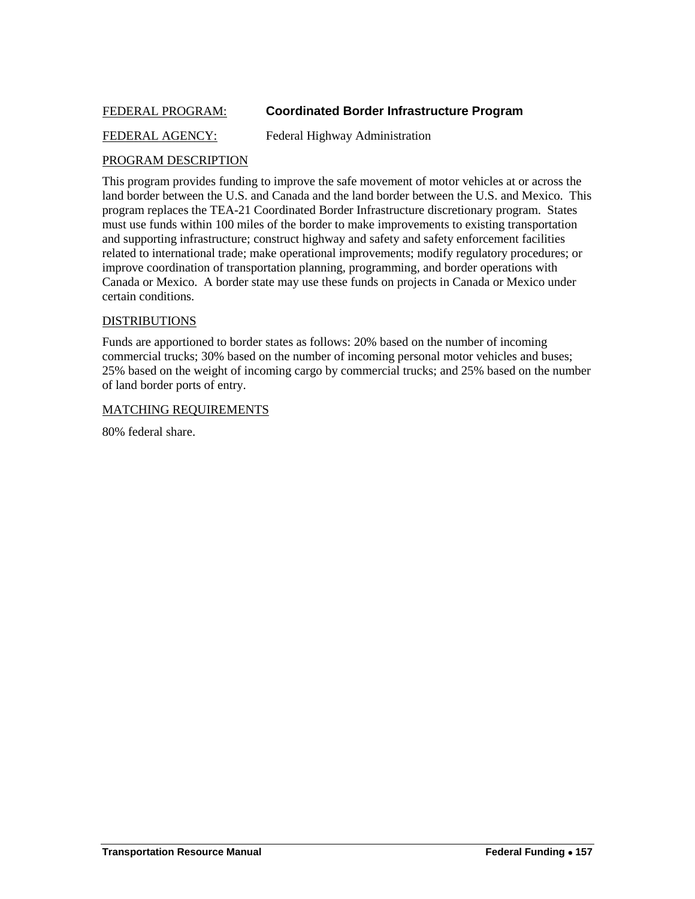### <span id="page-14-0"></span>FEDERAL PROGRAM: **Coordinated Border Infrastructure Program**

### FEDERAL AGENCY: Federal Highway Administration

### PROGRAM DESCRIPTION

This program provides funding to improve the safe movement of motor vehicles at or across the land border between the U.S. and Canada and the land border between the U.S. and Mexico. This program replaces the TEA-21 Coordinated Border Infrastructure discretionary program. States must use funds within 100 miles of the border to make improvements to existing transportation and supporting infrastructure; construct highway and safety and safety enforcement facilities related to international trade; make operational improvements; modify regulatory procedures; or improve coordination of transportation planning, programming, and border operations with Canada or Mexico. A border state may use these funds on projects in Canada or Mexico under certain conditions.

### DISTRIBUTIONS

Funds are apportioned to border states as follows: 20% based on the number of incoming commercial trucks; 30% based on the number of incoming personal motor vehicles and buses; 25% based on the weight of incoming cargo by commercial trucks; and 25% based on the number of land border ports of entry.

### MATCHING REQUIREMENTS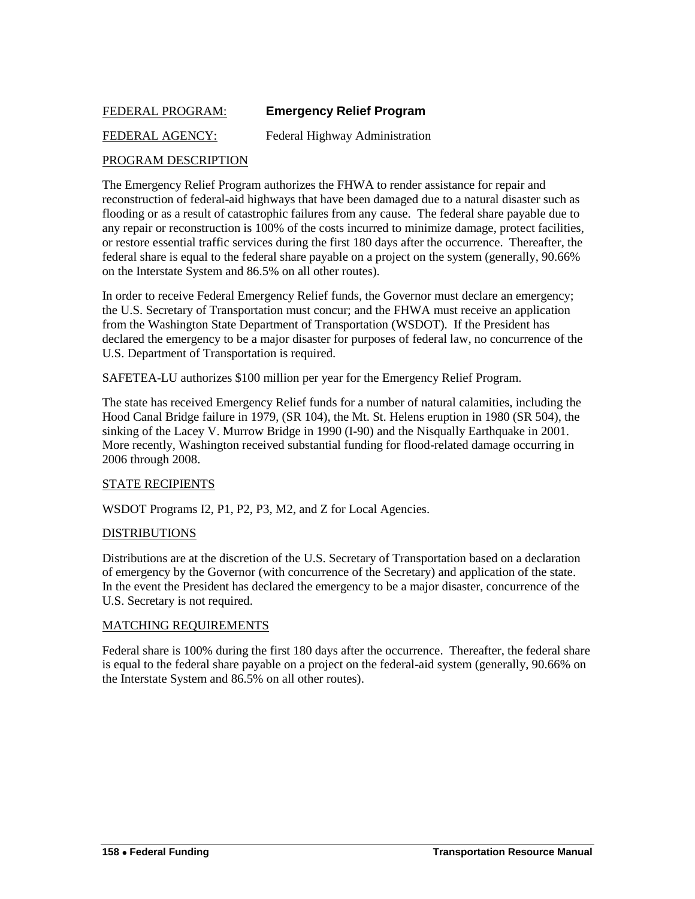### <span id="page-15-0"></span>FEDERAL PROGRAM: **Emergency Relief Program**

### FEDERAL AGENCY: Federal Highway Administration

### PROGRAM DESCRIPTION

The Emergency Relief Program authorizes the FHWA to render assistance for repair and reconstruction of federal-aid highways that have been damaged due to a natural disaster such as flooding or as a result of catastrophic failures from any cause. The federal share payable due to any repair or reconstruction is 100% of the costs incurred to minimize damage, protect facilities, or restore essential traffic services during the first 180 days after the occurrence. Thereafter, the federal share is equal to the federal share payable on a project on the system (generally, 90.66% on the Interstate System and 86.5% on all other routes).

In order to receive Federal Emergency Relief funds, the Governor must declare an emergency; the U.S. Secretary of Transportation must concur; and the FHWA must receive an application from the Washington State Department of Transportation (WSDOT). If the President has declared the emergency to be a major disaster for purposes of federal law, no concurrence of the U.S. Department of Transportation is required.

SAFETEA-LU authorizes \$100 million per year for the Emergency Relief Program.

The state has received Emergency Relief funds for a number of natural calamities, including the Hood Canal Bridge failure in 1979, (SR 104), the Mt. St. Helens eruption in 1980 (SR 504), the sinking of the Lacey V. Murrow Bridge in 1990 (I-90) and the Nisqually Earthquake in 2001. More recently, Washington received substantial funding for flood-related damage occurring in 2006 through 2008.

### STATE RECIPIENTS

WSDOT Programs I2, P1, P2, P3, M2, and Z for Local Agencies.

### DISTRIBUTIONS

Distributions are at the discretion of the U.S. Secretary of Transportation based on a declaration of emergency by the Governor (with concurrence of the Secretary) and application of the state. In the event the President has declared the emergency to be a major disaster, concurrence of the U.S. Secretary is not required.

#### MATCHING REQUIREMENTS

Federal share is 100% during the first 180 days after the occurrence. Thereafter, the federal share is equal to the federal share payable on a project on the federal-aid system (generally, 90.66% on the Interstate System and 86.5% on all other routes).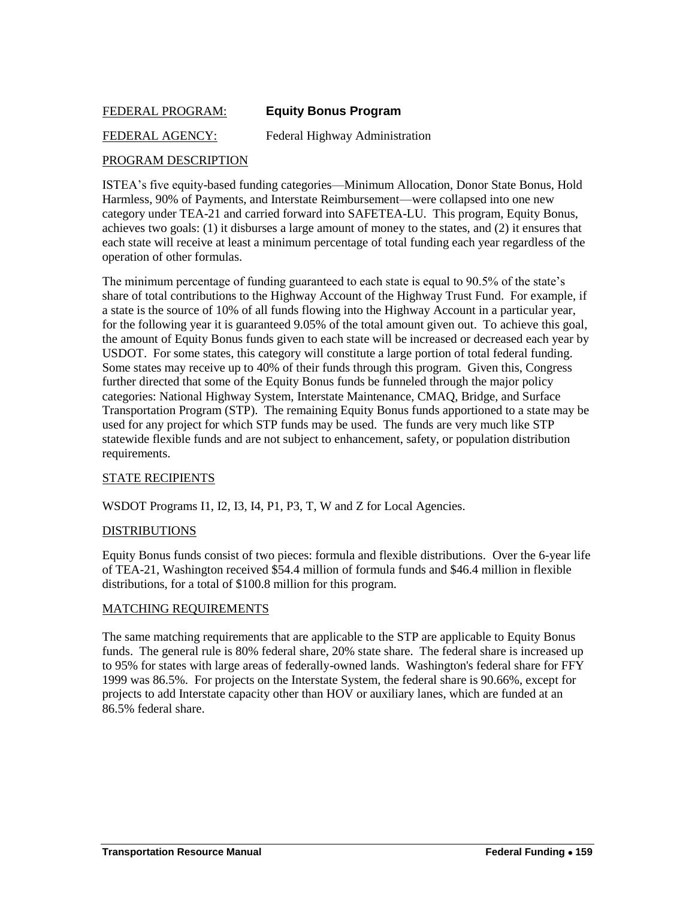### <span id="page-16-0"></span>FEDERAL PROGRAM: **Equity Bonus Program**

### FEDERAL AGENCY: Federal Highway Administration

### PROGRAM DESCRIPTION

ISTEA's five equity-based funding categories—Minimum Allocation, Donor State Bonus, Hold Harmless, 90% of Payments, and Interstate Reimbursement—were collapsed into one new category under TEA-21 and carried forward into SAFETEA-LU. This program, Equity Bonus, achieves two goals: (1) it disburses a large amount of money to the states, and (2) it ensures that each state will receive at least a minimum percentage of total funding each year regardless of the operation of other formulas.

The minimum percentage of funding guaranteed to each state is equal to 90.5% of the state's share of total contributions to the Highway Account of the Highway Trust Fund. For example, if a state is the source of 10% of all funds flowing into the Highway Account in a particular year, for the following year it is guaranteed 9.05% of the total amount given out. To achieve this goal, the amount of Equity Bonus funds given to each state will be increased or decreased each year by USDOT. For some states, this category will constitute a large portion of total federal funding. Some states may receive up to 40% of their funds through this program. Given this, Congress further directed that some of the Equity Bonus funds be funneled through the major policy categories: National Highway System, Interstate Maintenance, CMAQ, Bridge, and Surface Transportation Program (STP). The remaining Equity Bonus funds apportioned to a state may be used for any project for which STP funds may be used. The funds are very much like STP statewide flexible funds and are not subject to enhancement, safety, or population distribution requirements.

### STATE RECIPIENTS

WSDOT Programs I1, I2, I3, I4, P1, P3, T, W and Z for Local Agencies.

### DISTRIBUTIONS

Equity Bonus funds consist of two pieces: formula and flexible distributions. Over the 6-year life of TEA-21, Washington received \$54.4 million of formula funds and \$46.4 million in flexible distributions, for a total of \$100.8 million for this program.

### MATCHING REQUIREMENTS

The same matching requirements that are applicable to the STP are applicable to Equity Bonus funds. The general rule is 80% federal share, 20% state share. The federal share is increased up to 95% for states with large areas of federally-owned lands. Washington's federal share for FFY 1999 was 86.5%. For projects on the Interstate System, the federal share is 90.66%, except for projects to add Interstate capacity other than HOV or auxiliary lanes, which are funded at an 86.5% federal share.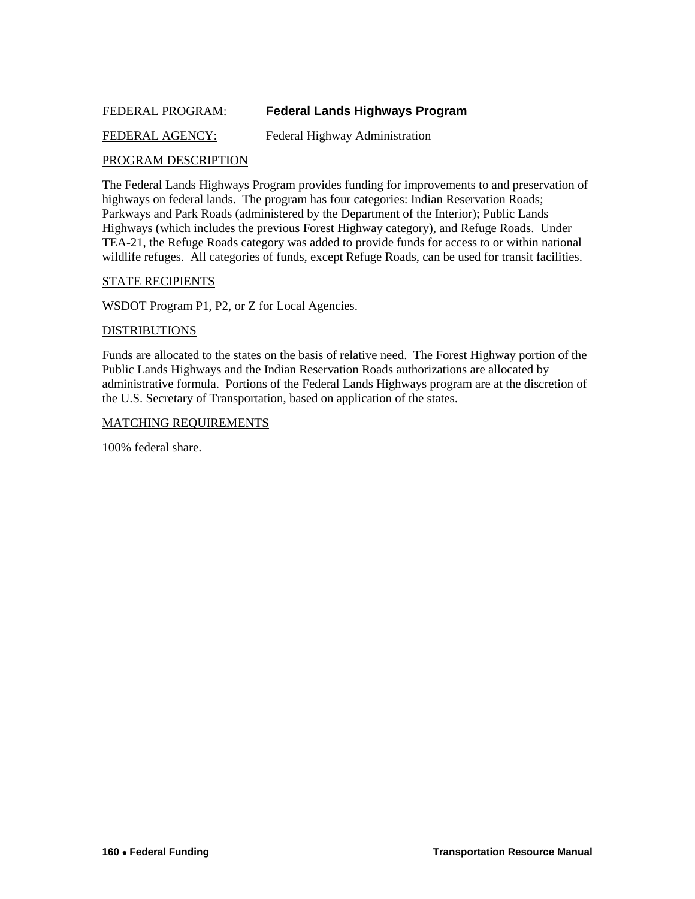### <span id="page-17-0"></span>FEDERAL PROGRAM: **Federal Lands Highways Program**

### FEDERAL AGENCY: Federal Highway Administration

### PROGRAM DESCRIPTION

The Federal Lands Highways Program provides funding for improvements to and preservation of highways on federal lands. The program has four categories: Indian Reservation Roads; Parkways and Park Roads (administered by the Department of the Interior); Public Lands Highways (which includes the previous Forest Highway category), and Refuge Roads. Under TEA-21, the Refuge Roads category was added to provide funds for access to or within national wildlife refuges. All categories of funds, except Refuge Roads, can be used for transit facilities.

### STATE RECIPIENTS

WSDOT Program P1, P2, or Z for Local Agencies.

### DISTRIBUTIONS

Funds are allocated to the states on the basis of relative need. The Forest Highway portion of the Public Lands Highways and the Indian Reservation Roads authorizations are allocated by administrative formula. Portions of the Federal Lands Highways program are at the discretion of the U.S. Secretary of Transportation, based on application of the states.

### MATCHING REQUIREMENTS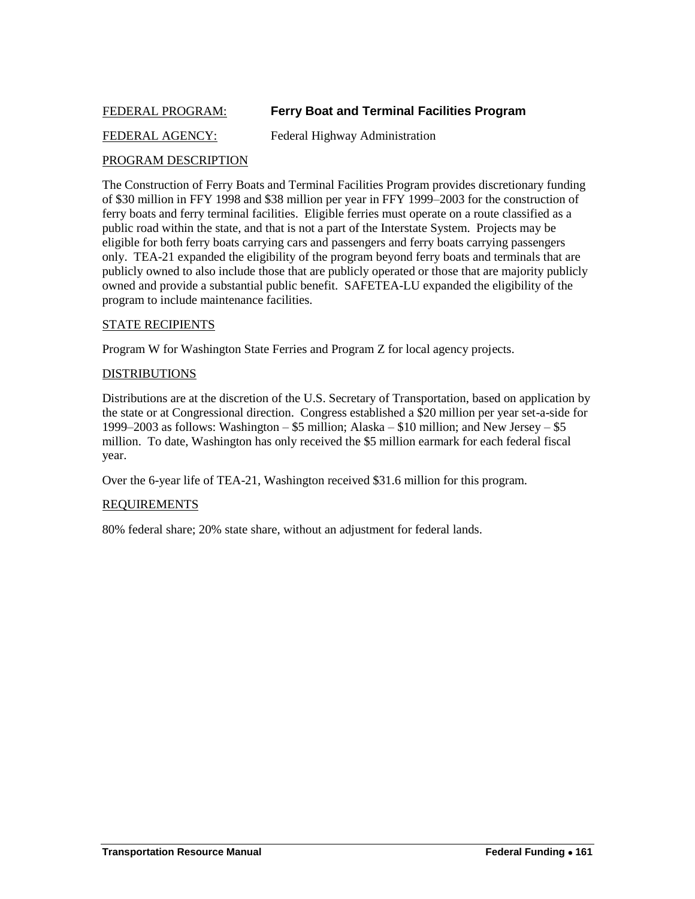### <span id="page-18-0"></span>FEDERAL PROGRAM: **Ferry Boat and Terminal Facilities Program**

### FEDERAL AGENCY: Federal Highway Administration

### PROGRAM DESCRIPTION

The Construction of Ferry Boats and Terminal Facilities Program provides discretionary funding of \$30 million in FFY 1998 and \$38 million per year in FFY 1999–2003 for the construction of ferry boats and ferry terminal facilities. Eligible ferries must operate on a route classified as a public road within the state, and that is not a part of the Interstate System. Projects may be eligible for both ferry boats carrying cars and passengers and ferry boats carrying passengers only. TEA-21 expanded the eligibility of the program beyond ferry boats and terminals that are publicly owned to also include those that are publicly operated or those that are majority publicly owned and provide a substantial public benefit. SAFETEA-LU expanded the eligibility of the program to include maintenance facilities.

#### STATE RECIPIENTS

Program W for Washington State Ferries and Program Z for local agency projects.

#### DISTRIBUTIONS

Distributions are at the discretion of the U.S. Secretary of Transportation, based on application by the state or at Congressional direction. Congress established a \$20 million per year set-a-side for 1999–2003 as follows: Washington – \$5 million; Alaska – \$10 million; and New Jersey – \$5 million. To date, Washington has only received the \$5 million earmark for each federal fiscal year.

Over the 6-year life of TEA-21, Washington received \$31.6 million for this program.

### REQUIREMENTS

80% federal share; 20% state share, without an adjustment for federal lands.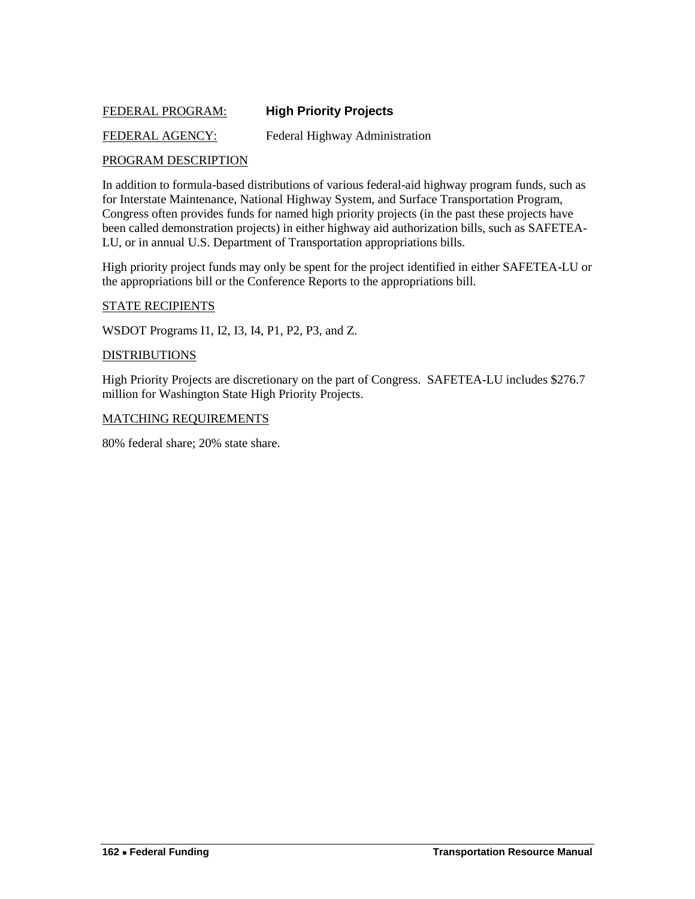### <span id="page-19-0"></span>FEDERAL PROGRAM: **High Priority Projects**

### FEDERAL AGENCY: Federal Highway Administration

### PROGRAM DESCRIPTION

In addition to formula-based distributions of various federal-aid highway program funds, such as for Interstate Maintenance, National Highway System, and Surface Transportation Program, Congress often provides funds for named high priority projects (in the past these projects have been called demonstration projects) in either highway aid authorization bills, such as SAFETEA-LU, or in annual U.S. Department of Transportation appropriations bills.

High priority project funds may only be spent for the project identified in either SAFETEA-LU or the appropriations bill or the Conference Reports to the appropriations bill.

#### STATE RECIPIENTS

WSDOT Programs I1, I2, I3, I4, P1, P2, P3, and Z.

#### **DISTRIBUTIONS**

High Priority Projects are discretionary on the part of Congress. SAFETEA-LU includes \$276.7 million for Washington State High Priority Projects.

#### MATCHING REQUIREMENTS

80% federal share; 20% state share.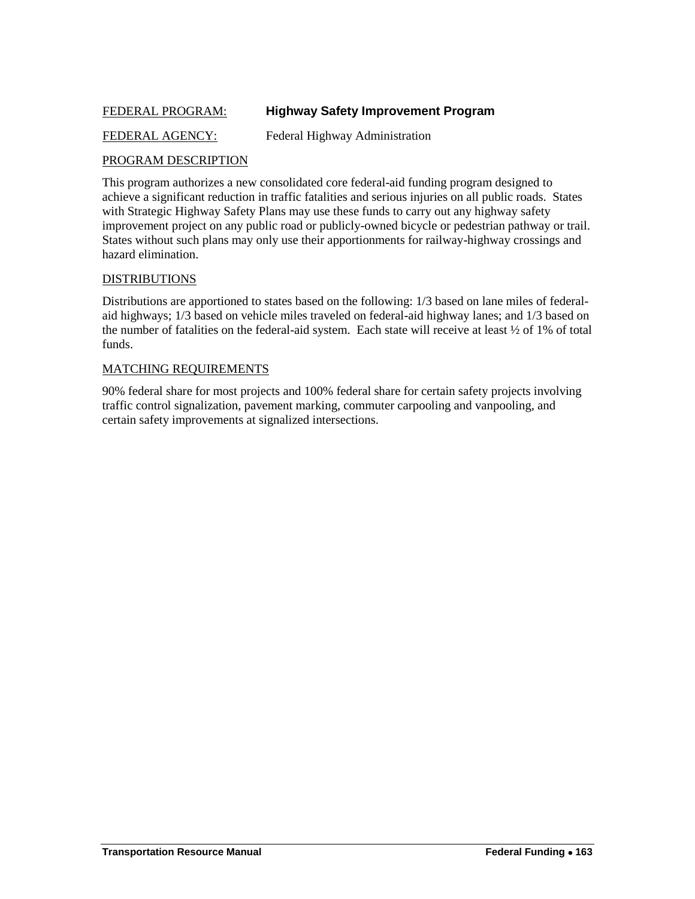### <span id="page-20-0"></span>FEDERAL PROGRAM: **Highway Safety Improvement Program**

### FEDERAL AGENCY: Federal Highway Administration

### PROGRAM DESCRIPTION

This program authorizes a new consolidated core federal-aid funding program designed to achieve a significant reduction in traffic fatalities and serious injuries on all public roads. States with Strategic Highway Safety Plans may use these funds to carry out any highway safety improvement project on any public road or publicly-owned bicycle or pedestrian pathway or trail. States without such plans may only use their apportionments for railway-highway crossings and hazard elimination.

### DISTRIBUTIONS

Distributions are apportioned to states based on the following: 1/3 based on lane miles of federalaid highways; 1/3 based on vehicle miles traveled on federal-aid highway lanes; and 1/3 based on the number of fatalities on the federal-aid system. Each state will receive at least ½ of 1% of total funds.

### MATCHING REQUIREMENTS

90% federal share for most projects and 100% federal share for certain safety projects involving traffic control signalization, pavement marking, commuter carpooling and vanpooling, and certain safety improvements at signalized intersections.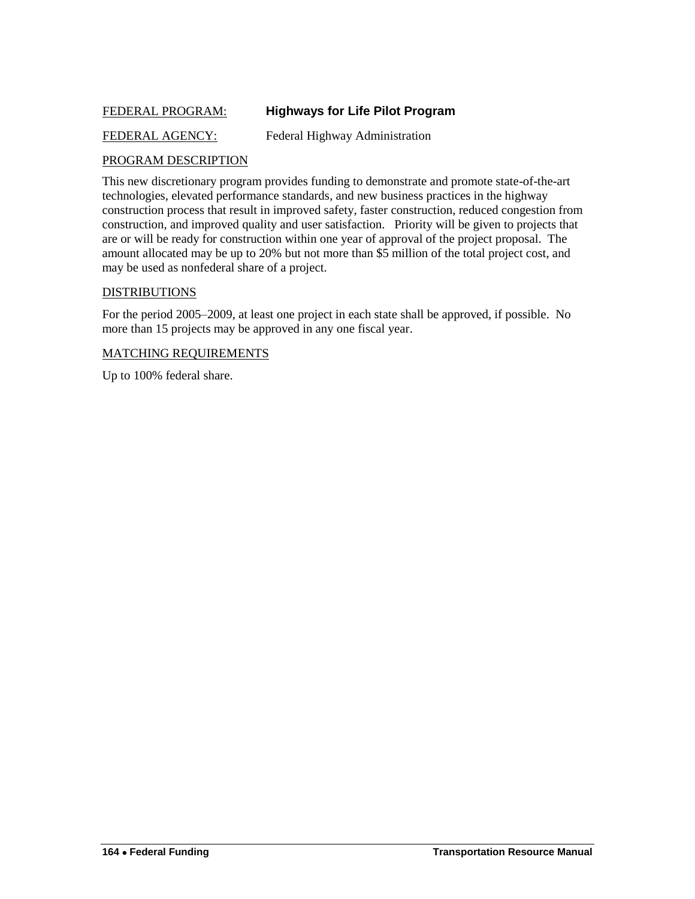### <span id="page-21-0"></span>FEDERAL PROGRAM: **Highways for Life Pilot Program**

### FEDERAL AGENCY: Federal Highway Administration

### PROGRAM DESCRIPTION

This new discretionary program provides funding to demonstrate and promote state-of-the-art technologies, elevated performance standards, and new business practices in the highway construction process that result in improved safety, faster construction, reduced congestion from construction, and improved quality and user satisfaction. Priority will be given to projects that are or will be ready for construction within one year of approval of the project proposal. The amount allocated may be up to 20% but not more than \$5 million of the total project cost, and may be used as nonfederal share of a project.

### DISTRIBUTIONS

For the period 2005–2009, at least one project in each state shall be approved, if possible. No more than 15 projects may be approved in any one fiscal year.

#### MATCHING REQUIREMENTS

Up to 100% federal share.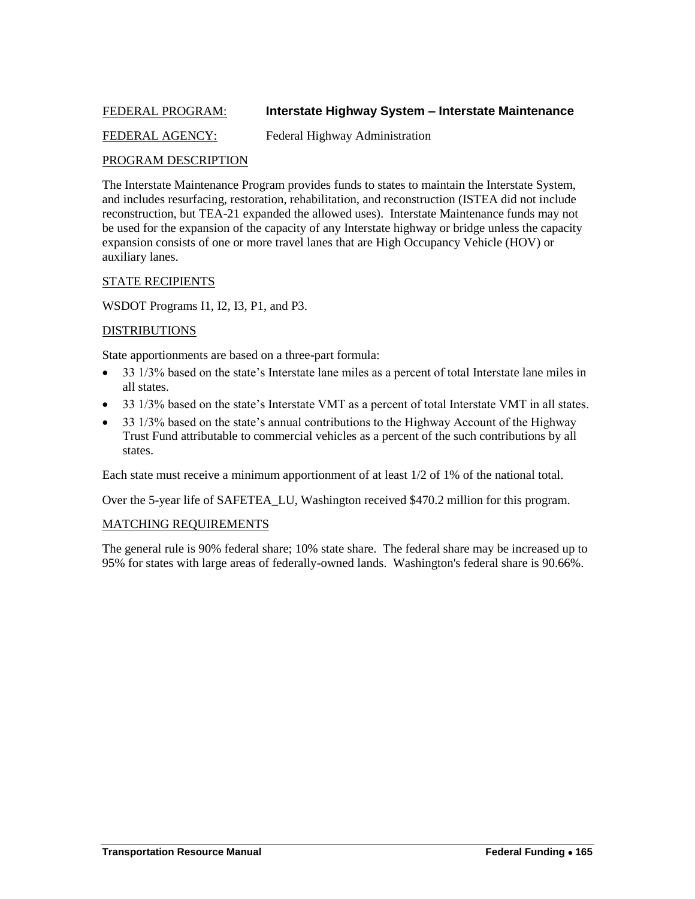### <span id="page-22-0"></span>FEDERAL PROGRAM: **Interstate Highway System – Interstate Maintenance**

### FEDERAL AGENCY: Federal Highway Administration

### PROGRAM DESCRIPTION

The Interstate Maintenance Program provides funds to states to maintain the Interstate System, and includes resurfacing, restoration, rehabilitation, and reconstruction (ISTEA did not include reconstruction, but TEA-21 expanded the allowed uses). Interstate Maintenance funds may not be used for the expansion of the capacity of any Interstate highway or bridge unless the capacity expansion consists of one or more travel lanes that are High Occupancy Vehicle (HOV) or auxiliary lanes.

### STATE RECIPIENTS

WSDOT Programs I1, I2, I3, P1, and P3.

### DISTRIBUTIONS

State apportionments are based on a three-part formula:

- 33 1/3% based on the state's Interstate lane miles as a percent of total Interstate lane miles in all states.
- 33 1/3% based on the state's Interstate VMT as a percent of total Interstate VMT in all states.
- 33 1/3% based on the state's annual contributions to the Highway Account of the Highway Trust Fund attributable to commercial vehicles as a percent of the such contributions by all states.

Each state must receive a minimum apportionment of at least 1/2 of 1% of the national total.

Over the 5-year life of SAFETEA\_LU, Washington received \$470.2 million for this program.

### MATCHING REQUIREMENTS

The general rule is 90% federal share; 10% state share. The federal share may be increased up to 95% for states with large areas of federally-owned lands. Washington's federal share is 90.66%.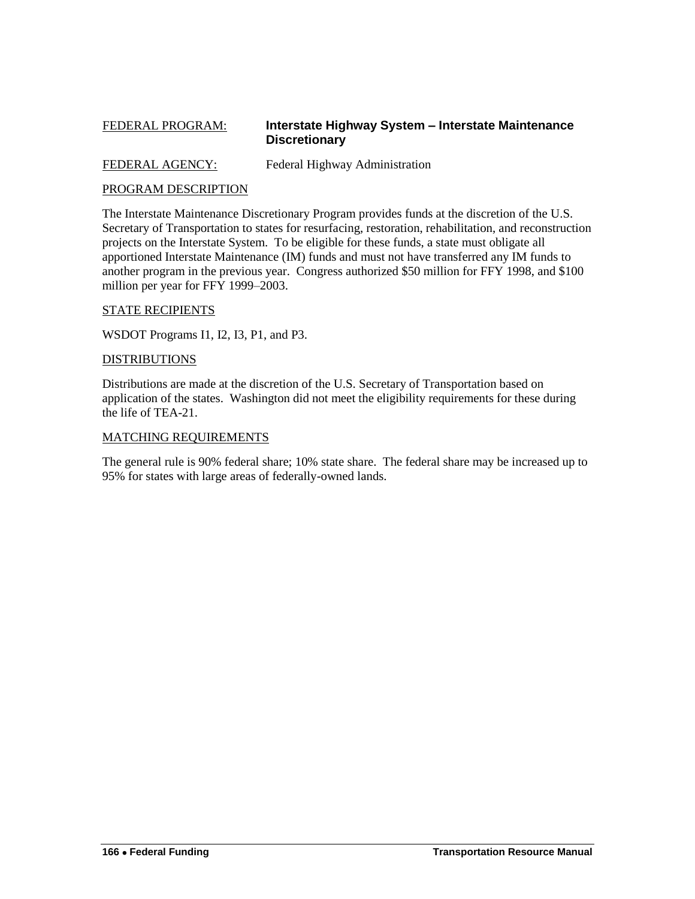### <span id="page-23-0"></span>FEDERAL PROGRAM: **Interstate Highway System – Interstate Maintenance Discretionary**

FEDERAL AGENCY: Federal Highway Administration

### PROGRAM DESCRIPTION

The Interstate Maintenance Discretionary Program provides funds at the discretion of the U.S. Secretary of Transportation to states for resurfacing, restoration, rehabilitation, and reconstruction projects on the Interstate System. To be eligible for these funds, a state must obligate all apportioned Interstate Maintenance (IM) funds and must not have transferred any IM funds to another program in the previous year. Congress authorized \$50 million for FFY 1998, and \$100 million per year for FFY 1999–2003.

### STATE RECIPIENTS

WSDOT Programs I1, I2, I3, P1, and P3.

### DISTRIBUTIONS

Distributions are made at the discretion of the U.S. Secretary of Transportation based on application of the states. Washington did not meet the eligibility requirements for these during the life of TEA-21.

### MATCHING REQUIREMENTS

The general rule is 90% federal share; 10% state share. The federal share may be increased up to 95% for states with large areas of federally-owned lands.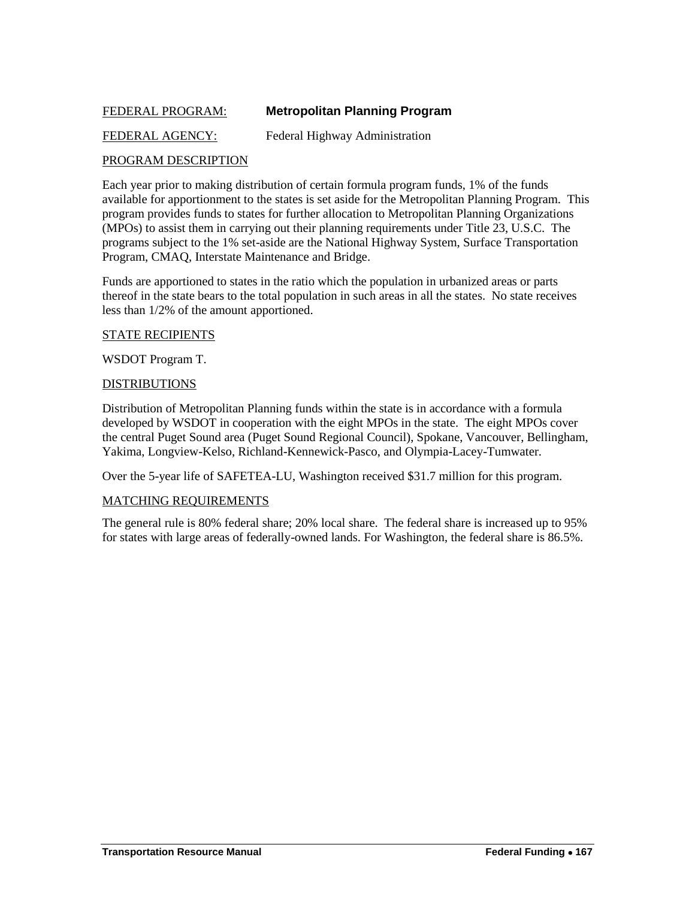### <span id="page-24-0"></span>FEDERAL PROGRAM: **Metropolitan Planning Program**

### FEDERAL AGENCY: Federal Highway Administration

### PROGRAM DESCRIPTION

Each year prior to making distribution of certain formula program funds, 1% of the funds available for apportionment to the states is set aside for the Metropolitan Planning Program. This program provides funds to states for further allocation to Metropolitan Planning Organizations (MPOs) to assist them in carrying out their planning requirements under Title 23, U.S.C. The programs subject to the 1% set-aside are the National Highway System, Surface Transportation Program, CMAQ, Interstate Maintenance and Bridge.

Funds are apportioned to states in the ratio which the population in urbanized areas or parts thereof in the state bears to the total population in such areas in all the states. No state receives less than 1/2% of the amount apportioned.

#### STATE RECIPIENTS

WSDOT Program T.

### DISTRIBUTIONS

Distribution of Metropolitan Planning funds within the state is in accordance with a formula developed by WSDOT in cooperation with the eight MPOs in the state. The eight MPOs cover the central Puget Sound area (Puget Sound Regional Council), Spokane, Vancouver, Bellingham, Yakima, Longview-Kelso, Richland-Kennewick-Pasco, and Olympia-Lacey-Tumwater.

Over the 5-year life of SAFETEA-LU, Washington received \$31.7 million for this program.

### MATCHING REQUIREMENTS

The general rule is 80% federal share; 20% local share. The federal share is increased up to 95% for states with large areas of federally-owned lands. For Washington, the federal share is 86.5%.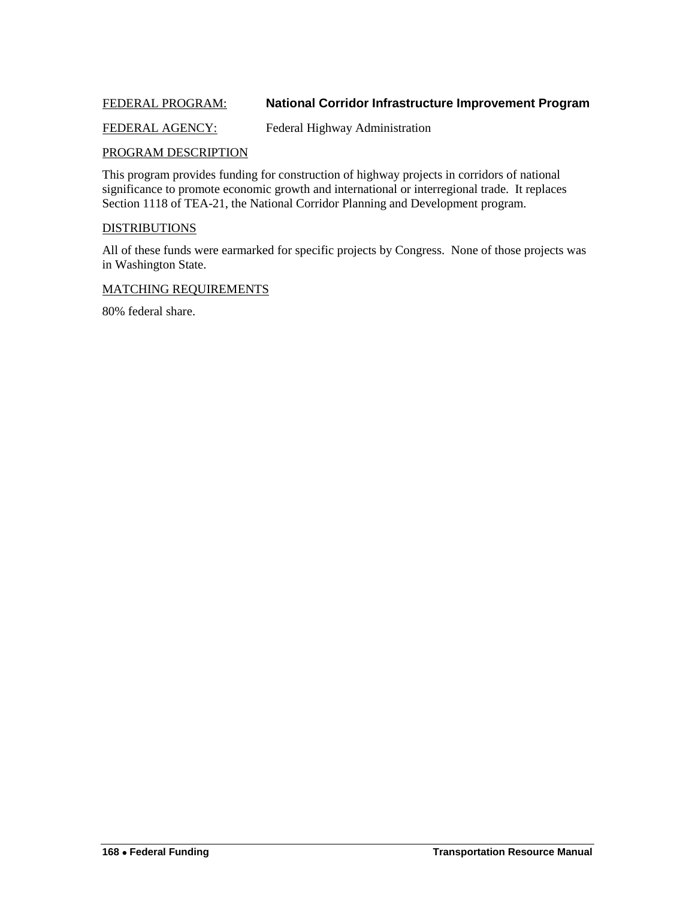### <span id="page-25-0"></span>FEDERAL PROGRAM: **National Corridor Infrastructure Improvement Program**

### FEDERAL AGENCY: Federal Highway Administration

### PROGRAM DESCRIPTION

This program provides funding for construction of highway projects in corridors of national significance to promote economic growth and international or interregional trade. It replaces Section 1118 of TEA-21, the National Corridor Planning and Development program.

### DISTRIBUTIONS

All of these funds were earmarked for specific projects by Congress. None of those projects was in Washington State.

### MATCHING REQUIREMENTS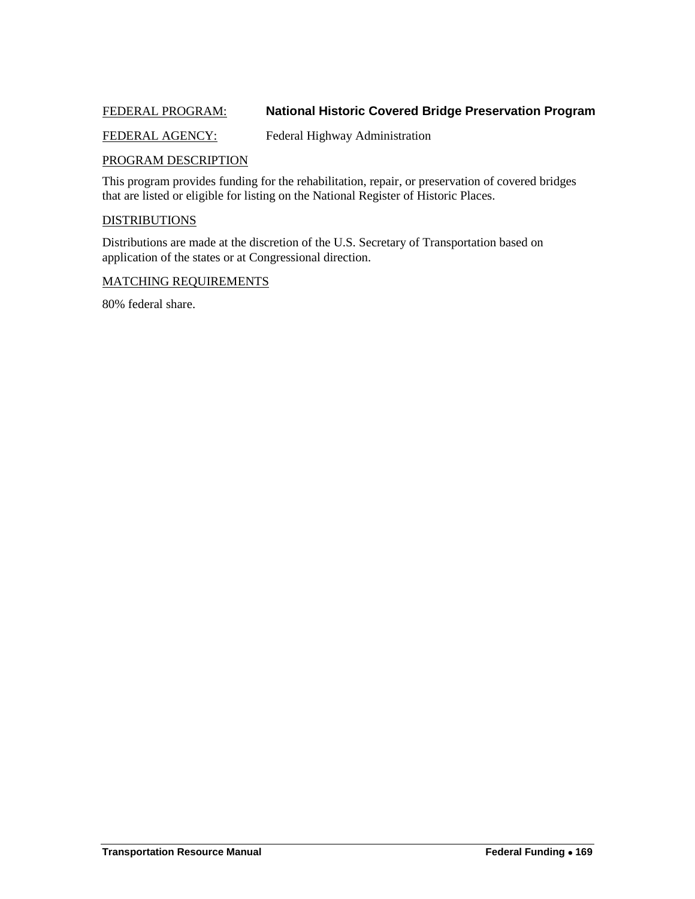### <span id="page-26-0"></span>FEDERAL PROGRAM: **National Historic Covered Bridge Preservation Program**

### FEDERAL AGENCY: Federal Highway Administration

### PROGRAM DESCRIPTION

This program provides funding for the rehabilitation, repair, or preservation of covered bridges that are listed or eligible for listing on the National Register of Historic Places.

### **DISTRIBUTIONS**

Distributions are made at the discretion of the U.S. Secretary of Transportation based on application of the states or at Congressional direction.

#### MATCHING REQUIREMENTS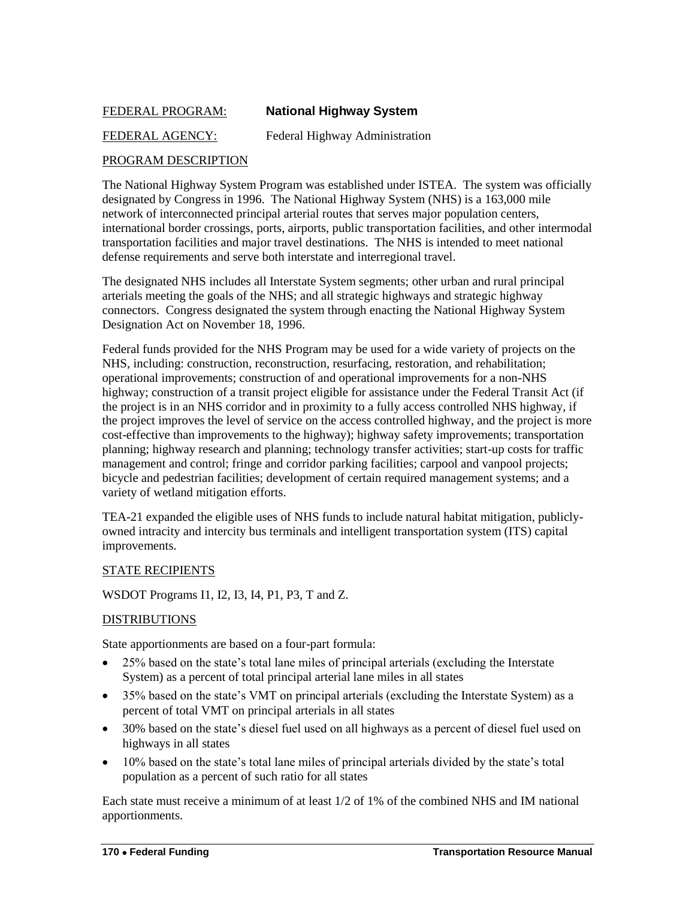### <span id="page-27-0"></span>FEDERAL PROGRAM: **National Highway System**

### FEDERAL AGENCY: Federal Highway Administration

### PROGRAM DESCRIPTION

The National Highway System Program was established under ISTEA. The system was officially designated by Congress in 1996. The National Highway System (NHS) is a 163,000 mile network of interconnected principal arterial routes that serves major population centers, international border crossings, ports, airports, public transportation facilities, and other intermodal transportation facilities and major travel destinations. The NHS is intended to meet national defense requirements and serve both interstate and interregional travel.

The designated NHS includes all Interstate System segments; other urban and rural principal arterials meeting the goals of the NHS; and all strategic highways and strategic highway connectors. Congress designated the system through enacting the National Highway System Designation Act on November 18, 1996.

Federal funds provided for the NHS Program may be used for a wide variety of projects on the NHS, including: construction, reconstruction, resurfacing, restoration, and rehabilitation; operational improvements; construction of and operational improvements for a non-NHS highway; construction of a transit project eligible for assistance under the Federal Transit Act (if the project is in an NHS corridor and in proximity to a fully access controlled NHS highway, if the project improves the level of service on the access controlled highway, and the project is more cost-effective than improvements to the highway); highway safety improvements; transportation planning; highway research and planning; technology transfer activities; start-up costs for traffic management and control; fringe and corridor parking facilities; carpool and vanpool projects; bicycle and pedestrian facilities; development of certain required management systems; and a variety of wetland mitigation efforts.

TEA-21 expanded the eligible uses of NHS funds to include natural habitat mitigation, publiclyowned intracity and intercity bus terminals and intelligent transportation system (ITS) capital improvements.

### STATE RECIPIENTS

WSDOT Programs I1, I2, I3, I4, P1, P3, T and Z.

### DISTRIBUTIONS

State apportionments are based on a four-part formula:

- 25% based on the state's total lane miles of principal arterials (excluding the Interstate System) as a percent of total principal arterial lane miles in all states
- 35% based on the state's VMT on principal arterials (excluding the Interstate System) as a percent of total VMT on principal arterials in all states
- 30% based on the state's diesel fuel used on all highways as a percent of diesel fuel used on highways in all states
- 10% based on the state's total lane miles of principal arterials divided by the state's total population as a percent of such ratio for all states

Each state must receive a minimum of at least 1/2 of 1% of the combined NHS and IM national apportionments.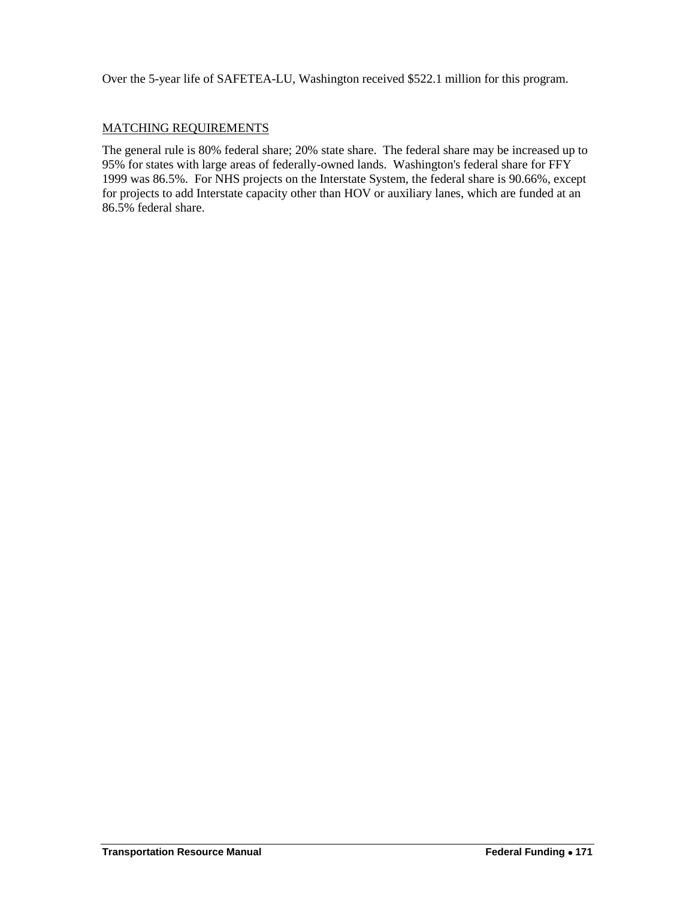Over the 5-year life of SAFETEA-LU, Washington received \$522.1 million for this program.

### MATCHING REQUIREMENTS

The general rule is 80% federal share; 20% state share. The federal share may be increased up to 95% for states with large areas of federally-owned lands. Washington's federal share for FFY 1999 was 86.5%. For NHS projects on the Interstate System, the federal share is 90.66%, except for projects to add Interstate capacity other than HOV or auxiliary lanes, which are funded at an 86.5% federal share.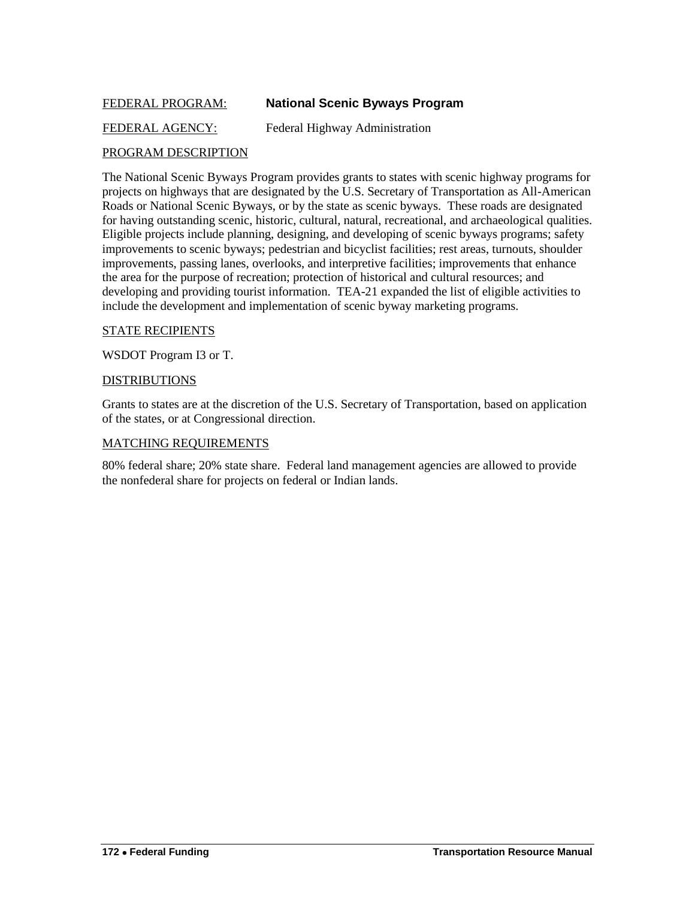### <span id="page-29-0"></span>FEDERAL PROGRAM: **National Scenic Byways Program**

FEDERAL AGENCY: Federal Highway Administration

### PROGRAM DESCRIPTION

The National Scenic Byways Program provides grants to states with scenic highway programs for projects on highways that are designated by the U.S. Secretary of Transportation as All-American Roads or National Scenic Byways, or by the state as scenic byways. These roads are designated for having outstanding scenic, historic, cultural, natural, recreational, and archaeological qualities. Eligible projects include planning, designing, and developing of scenic byways programs; safety improvements to scenic byways; pedestrian and bicyclist facilities; rest areas, turnouts, shoulder improvements, passing lanes, overlooks, and interpretive facilities; improvements that enhance the area for the purpose of recreation; protection of historical and cultural resources; and developing and providing tourist information. TEA-21 expanded the list of eligible activities to include the development and implementation of scenic byway marketing programs.

### STATE RECIPIENTS

WSDOT Program I3 or T.

### **DISTRIBUTIONS**

Grants to states are at the discretion of the U.S. Secretary of Transportation, based on application of the states, or at Congressional direction.

### MATCHING REQUIREMENTS

80% federal share; 20% state share. Federal land management agencies are allowed to provide the nonfederal share for projects on federal or Indian lands.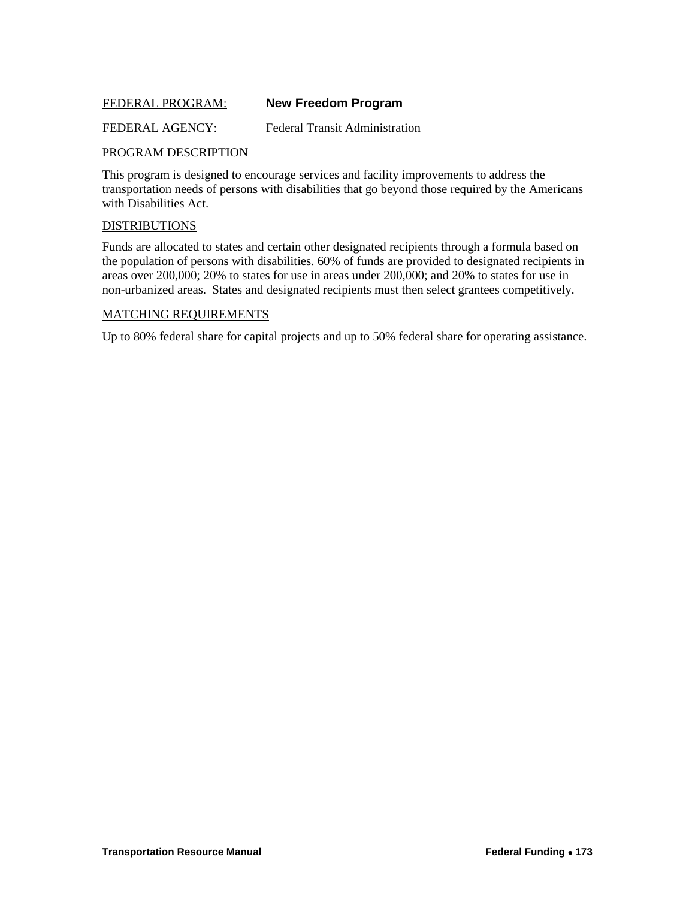### <span id="page-30-0"></span>FEDERAL PROGRAM: **New Freedom Program**

FEDERAL AGENCY: Federal Transit Administration

### PROGRAM DESCRIPTION

This program is designed to encourage services and facility improvements to address the transportation needs of persons with disabilities that go beyond those required by the Americans with Disabilities Act.

### DISTRIBUTIONS

Funds are allocated to states and certain other designated recipients through a formula based on the population of persons with disabilities. 60% of funds are provided to designated recipients in areas over 200,000; 20% to states for use in areas under 200,000; and 20% to states for use in non-urbanized areas. States and designated recipients must then select grantees competitively.

### MATCHING REQUIREMENTS

Up to 80% federal share for capital projects and up to 50% federal share for operating assistance.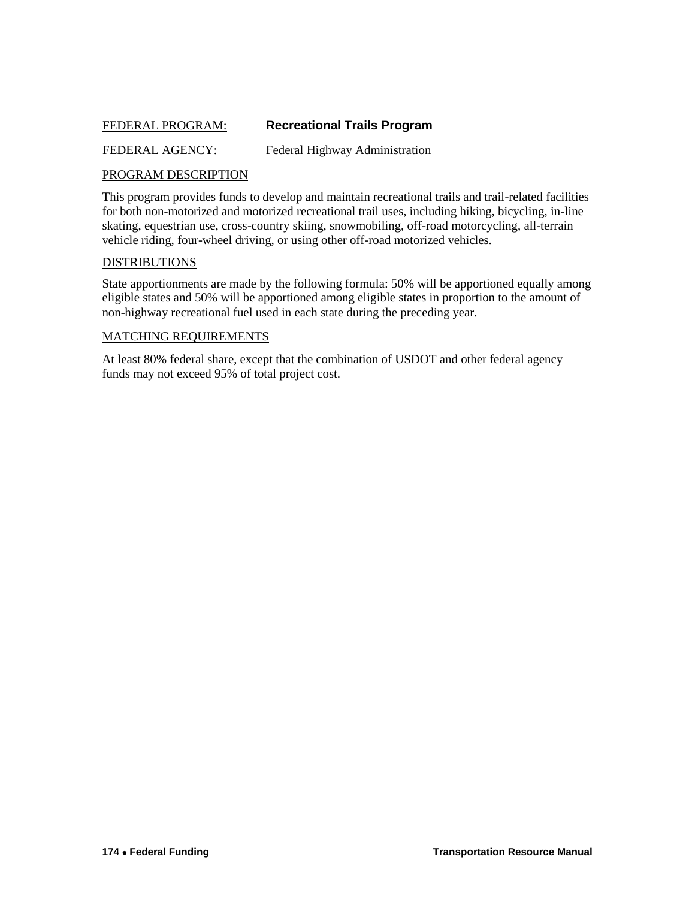### <span id="page-31-0"></span>FEDERAL PROGRAM: **Recreational Trails Program**

FEDERAL AGENCY: Federal Highway Administration

### PROGRAM DESCRIPTION

This program provides funds to develop and maintain recreational trails and trail-related facilities for both non-motorized and motorized recreational trail uses, including hiking, bicycling, in-line skating, equestrian use, cross-country skiing, snowmobiling, off-road motorcycling, all-terrain vehicle riding, four-wheel driving, or using other off-road motorized vehicles.

### **DISTRIBUTIONS**

State apportionments are made by the following formula: 50% will be apportioned equally among eligible states and 50% will be apportioned among eligible states in proportion to the amount of non-highway recreational fuel used in each state during the preceding year.

### MATCHING REQUIREMENTS

At least 80% federal share, except that the combination of USDOT and other federal agency funds may not exceed 95% of total project cost.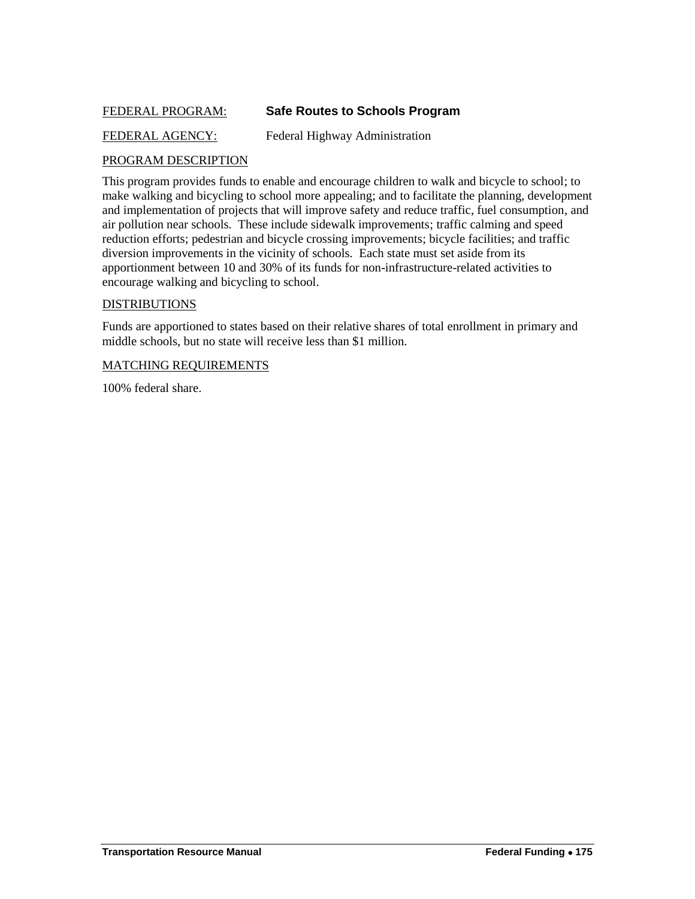### <span id="page-32-0"></span>FEDERAL PROGRAM: **Safe Routes to Schools Program**

### FEDERAL AGENCY: Federal Highway Administration

### PROGRAM DESCRIPTION

This program provides funds to enable and encourage children to walk and bicycle to school; to make walking and bicycling to school more appealing; and to facilitate the planning, development and implementation of projects that will improve safety and reduce traffic, fuel consumption, and air pollution near schools. These include sidewalk improvements; traffic calming and speed reduction efforts; pedestrian and bicycle crossing improvements; bicycle facilities; and traffic diversion improvements in the vicinity of schools. Each state must set aside from its apportionment between 10 and 30% of its funds for non-infrastructure-related activities to encourage walking and bicycling to school.

### **DISTRIBUTIONS**

Funds are apportioned to states based on their relative shares of total enrollment in primary and middle schools, but no state will receive less than \$1 million.

### MATCHING REQUIREMENTS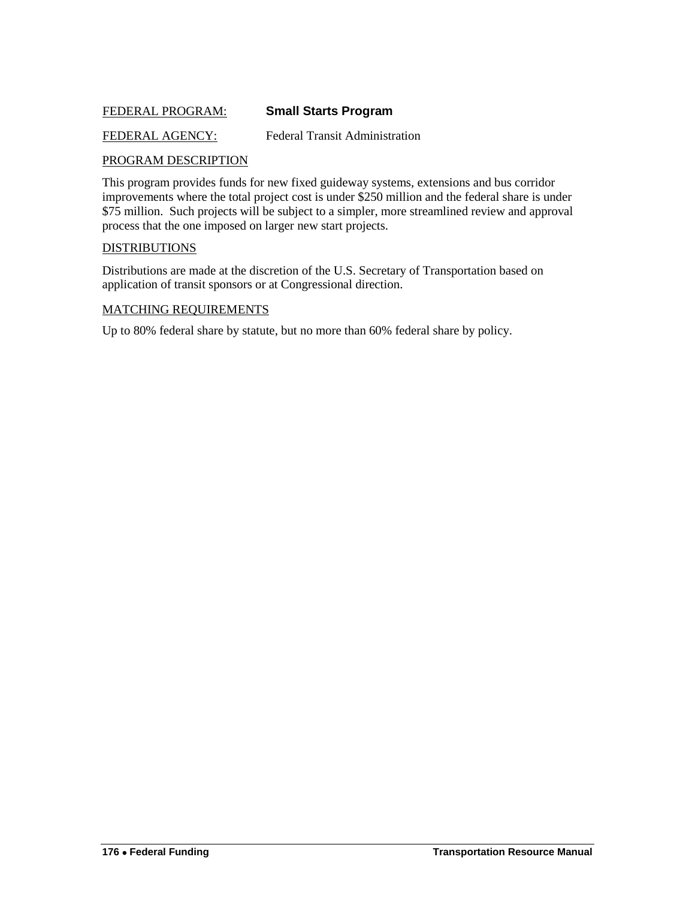### <span id="page-33-0"></span>FEDERAL PROGRAM: **Small Starts Program**

### FEDERAL AGENCY: Federal Transit Administration

### PROGRAM DESCRIPTION

This program provides funds for new fixed guideway systems, extensions and bus corridor improvements where the total project cost is under \$250 million and the federal share is under \$75 million. Such projects will be subject to a simpler, more streamlined review and approval process that the one imposed on larger new start projects.

#### **DISTRIBUTIONS**

Distributions are made at the discretion of the U.S. Secretary of Transportation based on application of transit sponsors or at Congressional direction.

### MATCHING REQUIREMENTS

Up to 80% federal share by statute, but no more than 60% federal share by policy.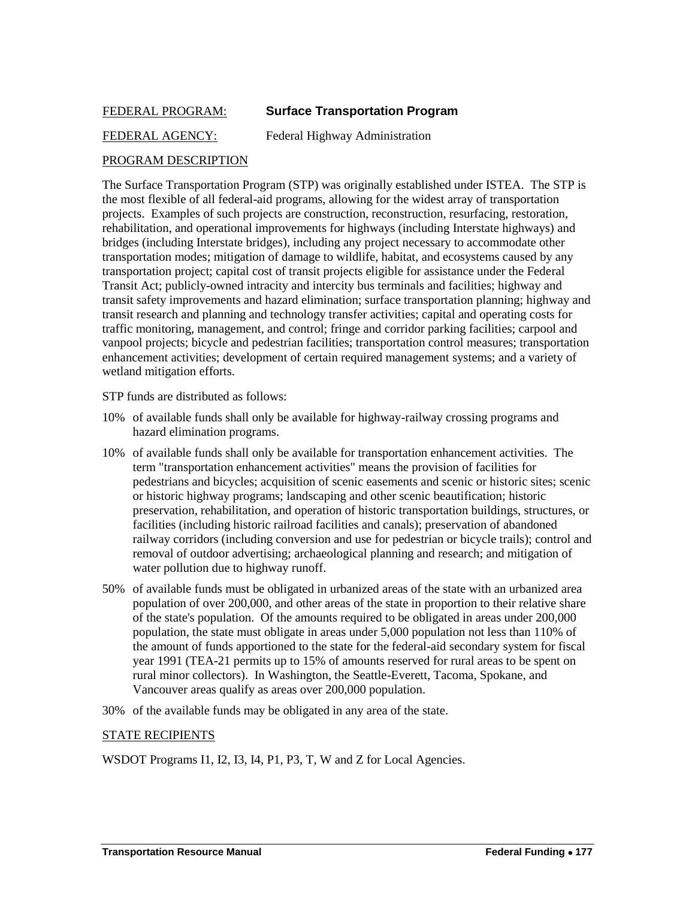### <span id="page-34-0"></span>FEDERAL PROGRAM: **Surface Transportation Program**

### FEDERAL AGENCY: Federal Highway Administration

### PROGRAM DESCRIPTION

The Surface Transportation Program (STP) was originally established under ISTEA. The STP is the most flexible of all federal-aid programs, allowing for the widest array of transportation projects. Examples of such projects are construction, reconstruction, resurfacing, restoration, rehabilitation, and operational improvements for highways (including Interstate highways) and bridges (including Interstate bridges), including any project necessary to accommodate other transportation modes; mitigation of damage to wildlife, habitat, and ecosystems caused by any transportation project; capital cost of transit projects eligible for assistance under the Federal Transit Act; publicly-owned intracity and intercity bus terminals and facilities; highway and transit safety improvements and hazard elimination; surface transportation planning; highway and transit research and planning and technology transfer activities; capital and operating costs for traffic monitoring, management, and control; fringe and corridor parking facilities; carpool and vanpool projects; bicycle and pedestrian facilities; transportation control measures; transportation enhancement activities; development of certain required management systems; and a variety of wetland mitigation efforts.

STP funds are distributed as follows:

- 10% of available funds shall only be available for highway-railway crossing programs and hazard elimination programs.
- 10% of available funds shall only be available for transportation enhancement activities. The term "transportation enhancement activities" means the provision of facilities for pedestrians and bicycles; acquisition of scenic easements and scenic or historic sites; scenic or historic highway programs; landscaping and other scenic beautification; historic preservation, rehabilitation, and operation of historic transportation buildings, structures, or facilities (including historic railroad facilities and canals); preservation of abandoned railway corridors (including conversion and use for pedestrian or bicycle trails); control and removal of outdoor advertising; archaeological planning and research; and mitigation of water pollution due to highway runoff.
- 50% of available funds must be obligated in urbanized areas of the state with an urbanized area population of over 200,000, and other areas of the state in proportion to their relative share of the state's population. Of the amounts required to be obligated in areas under 200,000 population, the state must obligate in areas under 5,000 population not less than 110% of the amount of funds apportioned to the state for the federal-aid secondary system for fiscal year 1991 (TEA-21 permits up to 15% of amounts reserved for rural areas to be spent on rural minor collectors). In Washington, the Seattle-Everett, Tacoma, Spokane, and Vancouver areas qualify as areas over 200,000 population.
- 30% of the available funds may be obligated in any area of the state.

### STATE RECIPIENTS

WSDOT Programs I1, I2, I3, I4, P1, P3, T, W and Z for Local Agencies.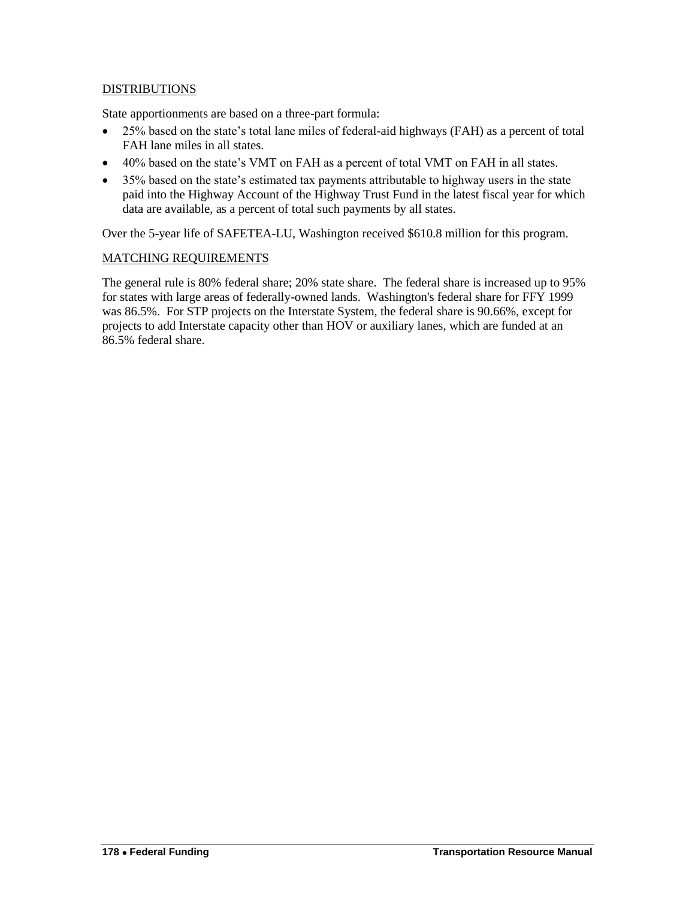### **DISTRIBUTIONS**

State apportionments are based on a three-part formula:

- 25% based on the state's total lane miles of federal-aid highways (FAH) as a percent of total FAH lane miles in all states.
- 40% based on the state's VMT on FAH as a percent of total VMT on FAH in all states.
- 35% based on the state's estimated tax payments attributable to highway users in the state paid into the Highway Account of the Highway Trust Fund in the latest fiscal year for which data are available, as a percent of total such payments by all states.

Over the 5-year life of SAFETEA-LU, Washington received \$610.8 million for this program.

### MATCHING REQUIREMENTS

The general rule is 80% federal share; 20% state share. The federal share is increased up to 95% for states with large areas of federally-owned lands. Washington's federal share for FFY 1999 was 86.5%. For STP projects on the Interstate System, the federal share is 90.66%, except for projects to add Interstate capacity other than HOV or auxiliary lanes, which are funded at an 86.5% federal share.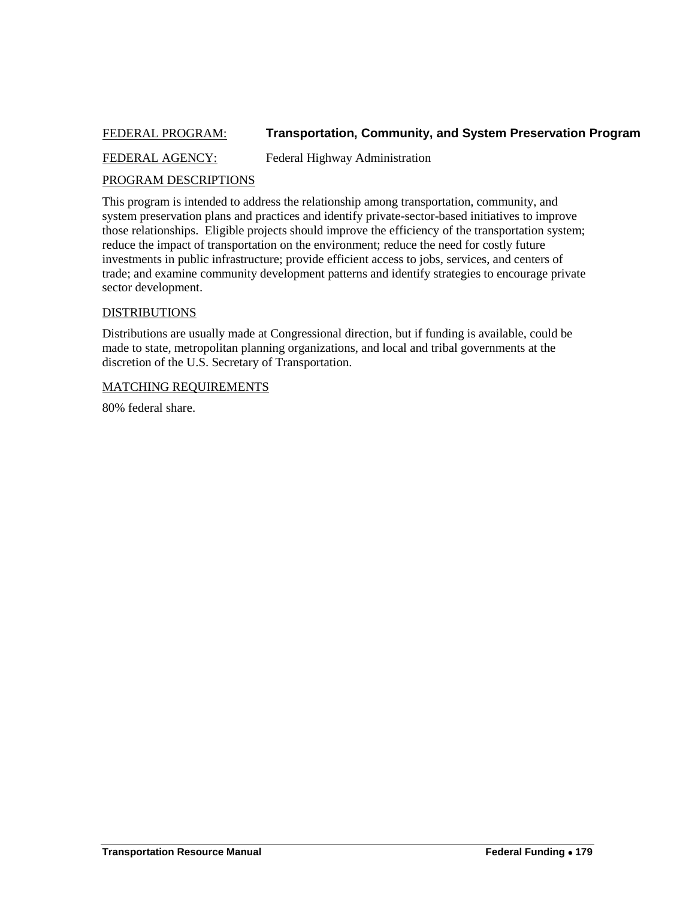### <span id="page-36-0"></span>FEDERAL PROGRAM: **Transportation, Community, and System Preservation Program**

FEDERAL AGENCY: Federal Highway Administration

### PROGRAM DESCRIPTIONS

This program is intended to address the relationship among transportation, community, and system preservation plans and practices and identify private-sector-based initiatives to improve those relationships. Eligible projects should improve the efficiency of the transportation system; reduce the impact of transportation on the environment; reduce the need for costly future investments in public infrastructure; provide efficient access to jobs, services, and centers of trade; and examine community development patterns and identify strategies to encourage private sector development.

### **DISTRIBUTIONS**

Distributions are usually made at Congressional direction, but if funding is available, could be made to state, metropolitan planning organizations, and local and tribal governments at the discretion of the U.S. Secretary of Transportation.

### MATCHING REQUIREMENTS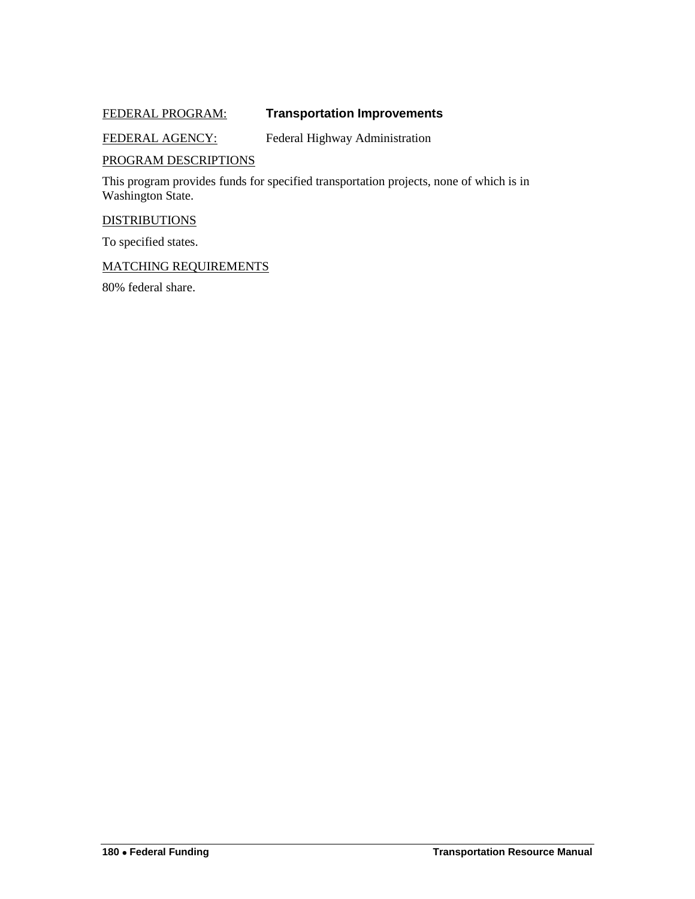### <span id="page-37-0"></span>FEDERAL PROGRAM: **Transportation Improvements**

### FEDERAL AGENCY: Federal Highway Administration

### PROGRAM DESCRIPTIONS

This program provides funds for specified transportation projects, none of which is in Washington State.

### **DISTRIBUTIONS**

To specified states.

### MATCHING REQUIREMENTS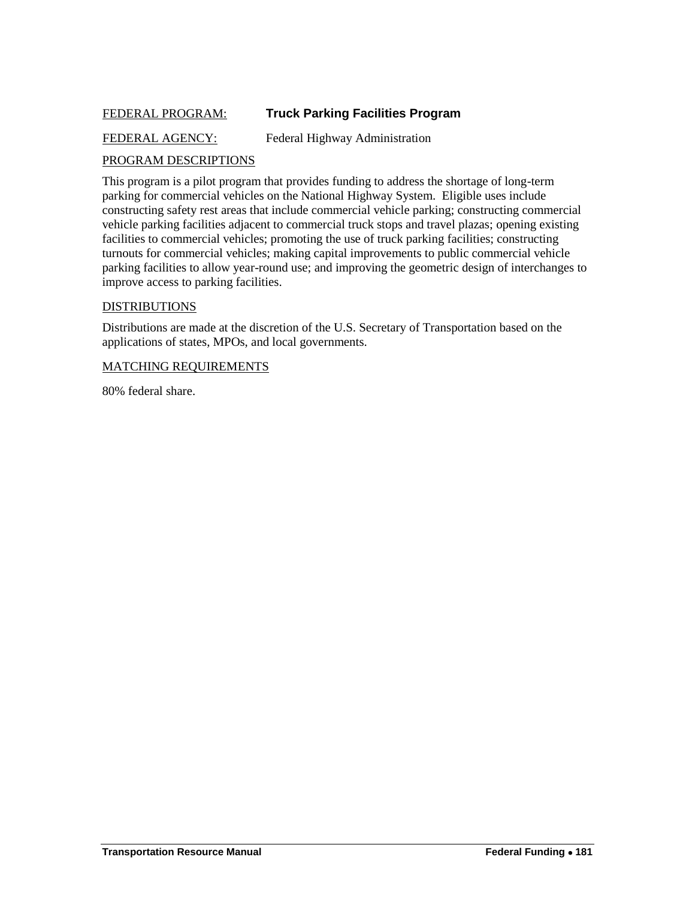### <span id="page-38-0"></span>FEDERAL PROGRAM: **Truck Parking Facilities Program**

### FEDERAL AGENCY: Federal Highway Administration

### PROGRAM DESCRIPTIONS

This program is a pilot program that provides funding to address the shortage of long-term parking for commercial vehicles on the National Highway System. Eligible uses include constructing safety rest areas that include commercial vehicle parking; constructing commercial vehicle parking facilities adjacent to commercial truck stops and travel plazas; opening existing facilities to commercial vehicles; promoting the use of truck parking facilities; constructing turnouts for commercial vehicles; making capital improvements to public commercial vehicle parking facilities to allow year-round use; and improving the geometric design of interchanges to improve access to parking facilities.

#### DISTRIBUTIONS

Distributions are made at the discretion of the U.S. Secretary of Transportation based on the applications of states, MPOs, and local governments.

#### MATCHING REQUIREMENTS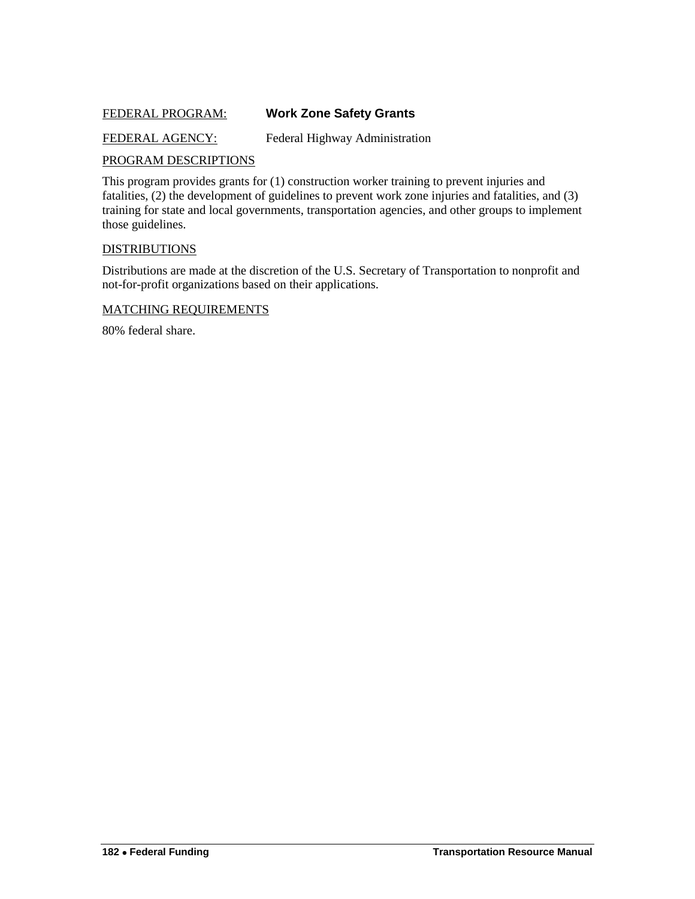### <span id="page-39-0"></span>FEDERAL PROGRAM: **Work Zone Safety Grants**

### FEDERAL AGENCY: Federal Highway Administration

### PROGRAM DESCRIPTIONS

This program provides grants for (1) construction worker training to prevent injuries and fatalities, (2) the development of guidelines to prevent work zone injuries and fatalities, and (3) training for state and local governments, transportation agencies, and other groups to implement those guidelines.

### **DISTRIBUTIONS**

Distributions are made at the discretion of the U.S. Secretary of Transportation to nonprofit and not-for-profit organizations based on their applications.

### MATCHING REQUIREMENTS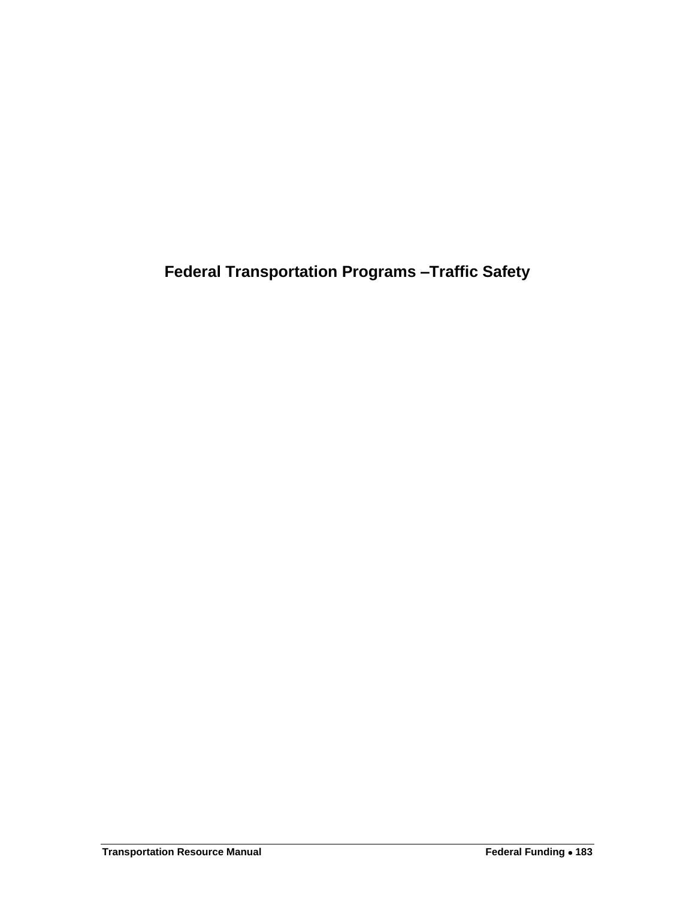<span id="page-40-0"></span>**Federal Transportation Programs –Traffic Safety**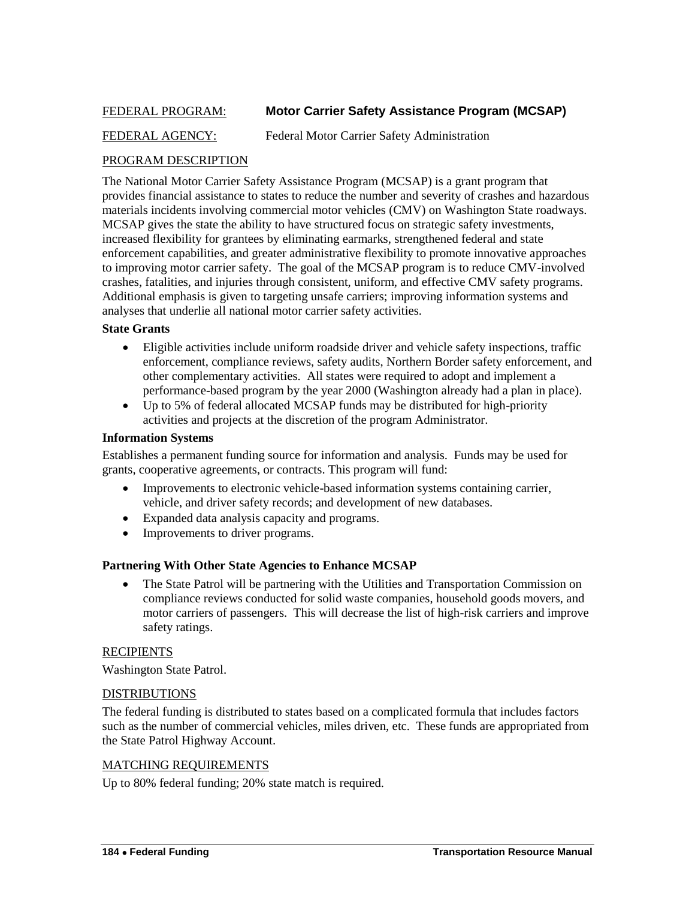### <span id="page-41-0"></span>FEDERAL PROGRAM: **Motor Carrier Safety Assistance Program (MCSAP)**

### FEDERAL AGENCY: Federal Motor Carrier Safety Administration

### PROGRAM DESCRIPTION

The National Motor Carrier Safety Assistance Program (MCSAP) is a grant program that provides financial assistance to states to reduce the number and severity of crashes and hazardous materials incidents involving commercial motor vehicles (CMV) on Washington State roadways. MCSAP gives the state the ability to have structured focus on strategic safety investments, increased flexibility for grantees by eliminating earmarks, strengthened federal and state enforcement capabilities, and greater administrative flexibility to promote innovative approaches to improving motor carrier safety. The goal of the MCSAP program is to reduce CMV-involved crashes, fatalities, and injuries through consistent, uniform, and effective CMV safety programs. Additional emphasis is given to targeting unsafe carriers; improving information systems and analyses that underlie all national motor carrier safety activities.

### **State Grants**

- Eligible activities include uniform roadside driver and vehicle safety inspections, traffic enforcement, compliance reviews, safety audits, Northern Border safety enforcement, and other complementary activities. All states were required to adopt and implement a performance-based program by the year 2000 (Washington already had a plan in place).
- Up to 5% of federal allocated MCSAP funds may be distributed for high-priority activities and projects at the discretion of the program Administrator.

### **Information Systems**

Establishes a permanent funding source for information and analysis. Funds may be used for grants, cooperative agreements, or contracts. This program will fund:

- Improvements to electronic vehicle-based information systems containing carrier, vehicle, and driver safety records; and development of new databases.
- Expanded data analysis capacity and programs.
- Improvements to driver programs.

### **Partnering With Other State Agencies to Enhance MCSAP**

• The State Patrol will be partnering with the Utilities and Transportation Commission on compliance reviews conducted for solid waste companies, household goods movers, and motor carriers of passengers. This will decrease the list of high-risk carriers and improve safety ratings.

### **RECIPIENTS**

Washington State Patrol.

### DISTRIBUTIONS

The federal funding is distributed to states based on a complicated formula that includes factors such as the number of commercial vehicles, miles driven, etc. These funds are appropriated from the State Patrol Highway Account.

### MATCHING REQUIREMENTS

Up to 80% federal funding; 20% state match is required.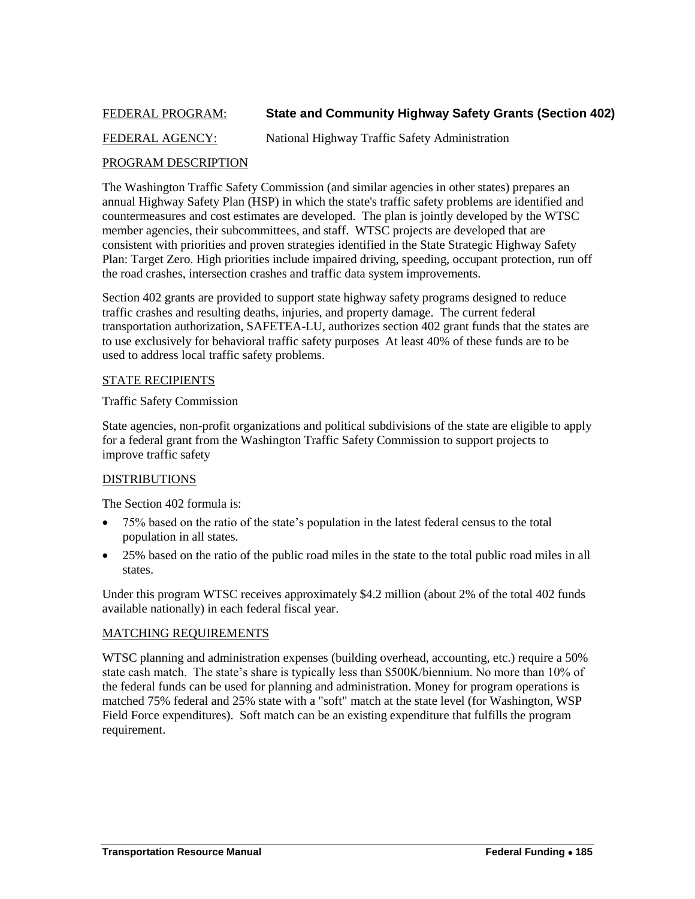### <span id="page-42-0"></span>FEDERAL PROGRAM: **State and Community Highway Safety Grants (Section 402)**

### FEDERAL AGENCY: National Highway Traffic Safety Administration

### PROGRAM DESCRIPTION

The Washington Traffic Safety Commission (and similar agencies in other states) prepares an annual Highway Safety Plan (HSP) in which the state's traffic safety problems are identified and countermeasures and cost estimates are developed. The plan is jointly developed by the WTSC member agencies, their subcommittees, and staff. WTSC projects are developed that are consistent with priorities and proven strategies identified in the State Strategic Highway Safety Plan: Target Zero. High priorities include impaired driving, speeding, occupant protection, run off the road crashes, intersection crashes and traffic data system improvements.

Section 402 grants are provided to support state highway safety programs designed to reduce traffic crashes and resulting deaths, injuries, and property damage. The current federal transportation authorization, SAFETEA-LU, authorizes section 402 grant funds that the states are to use exclusively for behavioral traffic safety purposes At least 40% of these funds are to be used to address local traffic safety problems.

### STATE RECIPIENTS

### Traffic Safety Commission

State agencies, non-profit organizations and political subdivisions of the state are eligible to apply for a federal grant from the Washington Traffic Safety Commission to support projects to improve traffic safety

### DISTRIBUTIONS

The Section 402 formula is:

- 75% based on the ratio of the state's population in the latest federal census to the total population in all states.
- 25% based on the ratio of the public road miles in the state to the total public road miles in all states.

Under this program WTSC receives approximately \$4.2 million (about 2% of the total 402 funds available nationally) in each federal fiscal year.

### MATCHING REQUIREMENTS

WTSC planning and administration expenses (building overhead, accounting, etc.) require a 50% state cash match. The state's share is typically less than \$500K/biennium. No more than 10% of the federal funds can be used for planning and administration. Money for program operations is matched 75% federal and 25% state with a "soft" match at the state level (for Washington, WSP Field Force expenditures). Soft match can be an existing expenditure that fulfills the program requirement.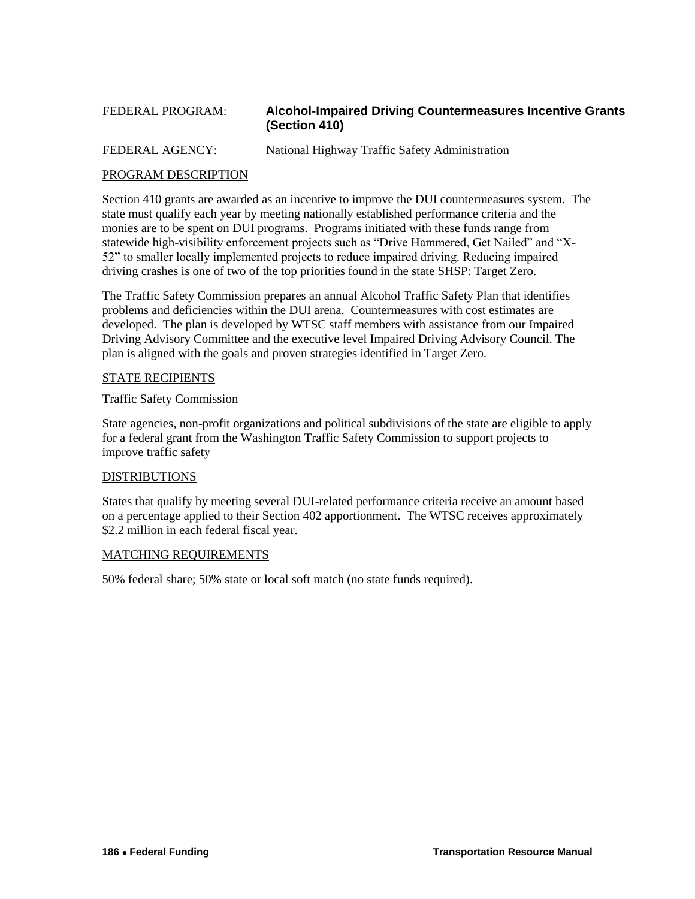### <span id="page-43-0"></span>FEDERAL PROGRAM: **Alcohol-Impaired Driving Countermeasures Incentive Grants (Section 410)**

### FEDERAL AGENCY: National Highway Traffic Safety Administration

### PROGRAM DESCRIPTION

Section 410 grants are awarded as an incentive to improve the DUI countermeasures system. The state must qualify each year by meeting nationally established performance criteria and the monies are to be spent on DUI programs. Programs initiated with these funds range from statewide high-visibility enforcement projects such as "Drive Hammered, Get Nailed" and "X-52‖ to smaller locally implemented projects to reduce impaired driving. Reducing impaired driving crashes is one of two of the top priorities found in the state SHSP: Target Zero.

The Traffic Safety Commission prepares an annual Alcohol Traffic Safety Plan that identifies problems and deficiencies within the DUI arena. Countermeasures with cost estimates are developed. The plan is developed by WTSC staff members with assistance from our Impaired Driving Advisory Committee and the executive level Impaired Driving Advisory Council. The plan is aligned with the goals and proven strategies identified in Target Zero.

### STATE RECIPIENTS

Traffic Safety Commission

State agencies, non-profit organizations and political subdivisions of the state are eligible to apply for a federal grant from the Washington Traffic Safety Commission to support projects to improve traffic safety

### DISTRIBUTIONS

States that qualify by meeting several DUI-related performance criteria receive an amount based on a percentage applied to their Section 402 apportionment. The WTSC receives approximately \$2.2 million in each federal fiscal year.

### MATCHING REQUIREMENTS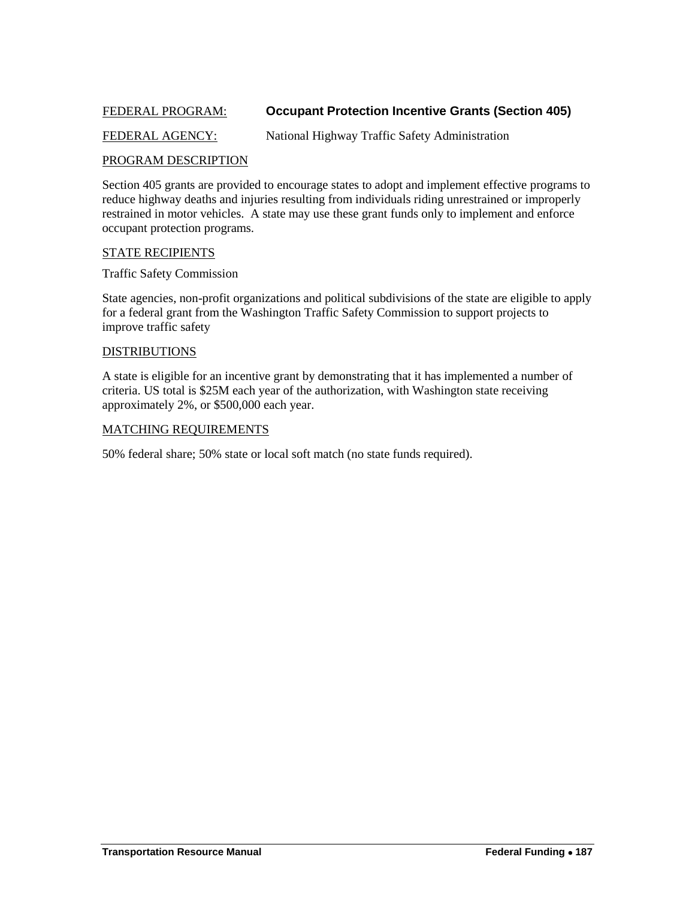### <span id="page-44-0"></span>FEDERAL PROGRAM: **Occupant Protection Incentive Grants (Section 405)**

### FEDERAL AGENCY: National Highway Traffic Safety Administration

### PROGRAM DESCRIPTION

Section 405 grants are provided to encourage states to adopt and implement effective programs to reduce highway deaths and injuries resulting from individuals riding unrestrained or improperly restrained in motor vehicles. A state may use these grant funds only to implement and enforce occupant protection programs.

### STATE RECIPIENTS

Traffic Safety Commission

State agencies, non-profit organizations and political subdivisions of the state are eligible to apply for a federal grant from the Washington Traffic Safety Commission to support projects to improve traffic safety

### DISTRIBUTIONS

A state is eligible for an incentive grant by demonstrating that it has implemented a number of criteria. US total is \$25M each year of the authorization, with Washington state receiving approximately 2%, or \$500,000 each year.

#### MATCHING REQUIREMENTS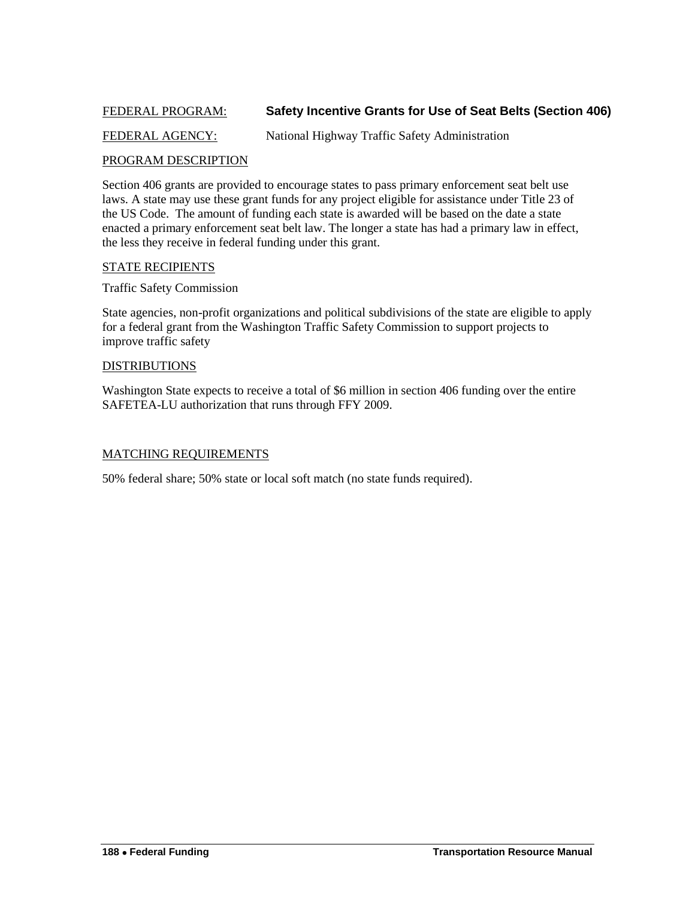### <span id="page-45-0"></span>FEDERAL PROGRAM: **Safety Incentive Grants for Use of Seat Belts (Section 406)**

### FEDERAL AGENCY: National Highway Traffic Safety Administration

### PROGRAM DESCRIPTION

Section 406 grants are provided to encourage states to pass primary enforcement seat belt use laws. A state may use these grant funds for any project eligible for assistance under Title 23 of the US Code. The amount of funding each state is awarded will be based on the date a state enacted a primary enforcement seat belt law. The longer a state has had a primary law in effect, the less they receive in federal funding under this grant.

### STATE RECIPIENTS

Traffic Safety Commission

State agencies, non-profit organizations and political subdivisions of the state are eligible to apply for a federal grant from the Washington Traffic Safety Commission to support projects to improve traffic safety

#### DISTRIBUTIONS

Washington State expects to receive a total of \$6 million in section 406 funding over the entire SAFETEA-LU authorization that runs through FFY 2009.

### MATCHING REQUIREMENTS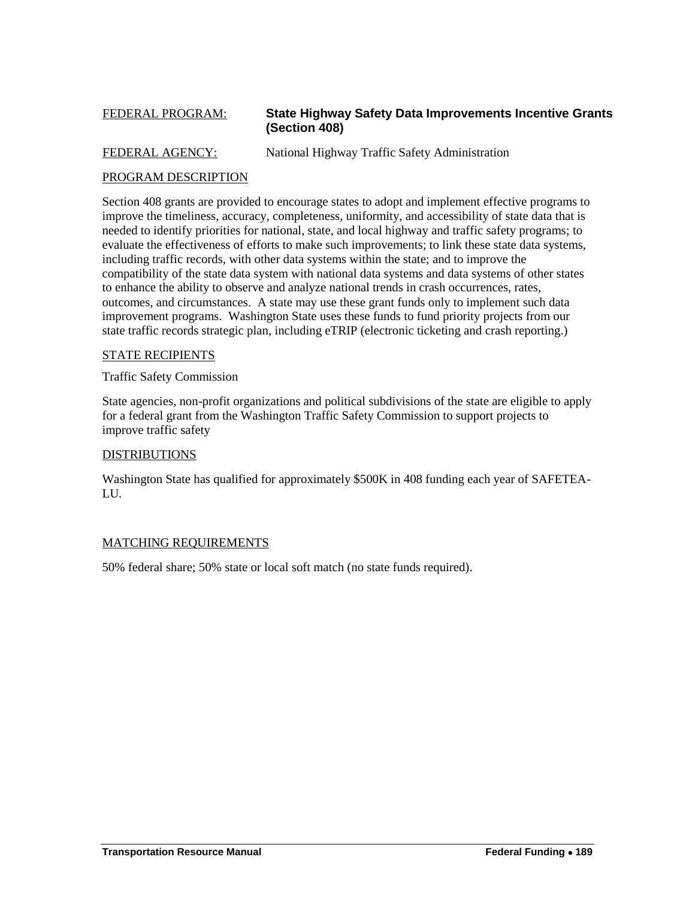### <span id="page-46-0"></span>FEDERAL PROGRAM: **State Highway Safety Data Improvements Incentive Grants (Section 408)**

FEDERAL AGENCY: National Highway Traffic Safety Administration

### PROGRAM DESCRIPTION

Section 408 grants are provided to encourage states to adopt and implement effective programs to improve the timeliness, accuracy, completeness, uniformity, and accessibility of state data that is needed to identify priorities for national, state, and local highway and traffic safety programs; to evaluate the effectiveness of efforts to make such improvements; to link these state data systems, including traffic records, with other data systems within the state; and to improve the compatibility of the state data system with national data systems and data systems of other states to enhance the ability to observe and analyze national trends in crash occurrences, rates, outcomes, and circumstances. A state may use these grant funds only to implement such data improvement programs. Washington State uses these funds to fund priority projects from our state traffic records strategic plan, including eTRIP (electronic ticketing and crash reporting.)

### STATE RECIPIENTS

Traffic Safety Commission

State agencies, non-profit organizations and political subdivisions of the state are eligible to apply for a federal grant from the Washington Traffic Safety Commission to support projects to improve traffic safety

### DISTRIBUTIONS

Washington State has qualified for approximately \$500K in 408 funding each year of SAFETEA-LU.

### MATCHING REQUIREMENTS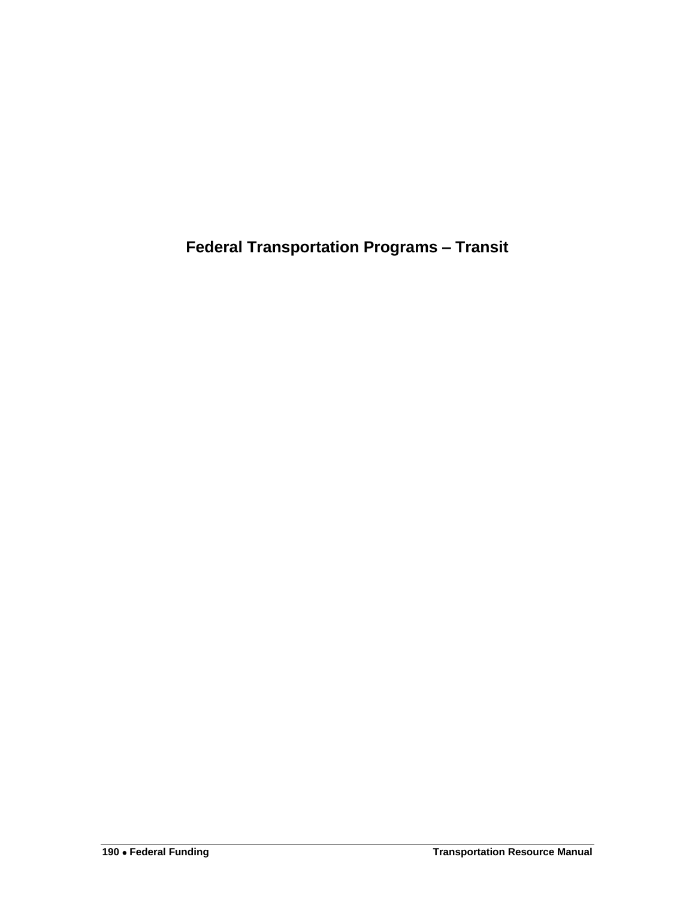<span id="page-47-0"></span>**Federal Transportation Programs – Transit**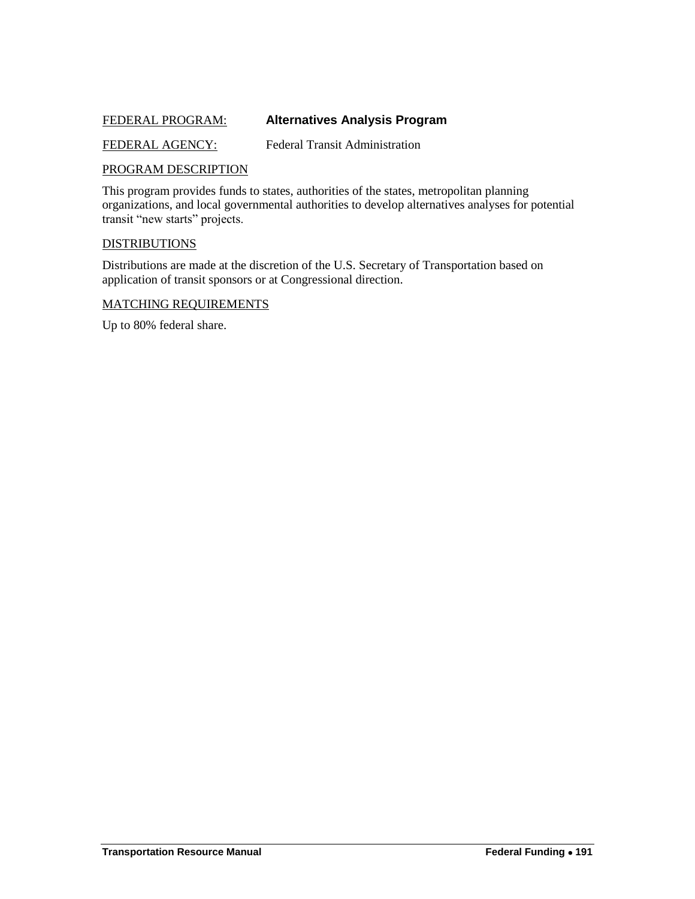### <span id="page-48-0"></span>FEDERAL PROGRAM: **Alternatives Analysis Program**

FEDERAL AGENCY: Federal Transit Administration

### PROGRAM DESCRIPTION

This program provides funds to states, authorities of the states, metropolitan planning organizations, and local governmental authorities to develop alternatives analyses for potential transit "new starts" projects.

#### DISTRIBUTIONS

Distributions are made at the discretion of the U.S. Secretary of Transportation based on application of transit sponsors or at Congressional direction.

#### MATCHING REQUIREMENTS

Up to 80% federal share.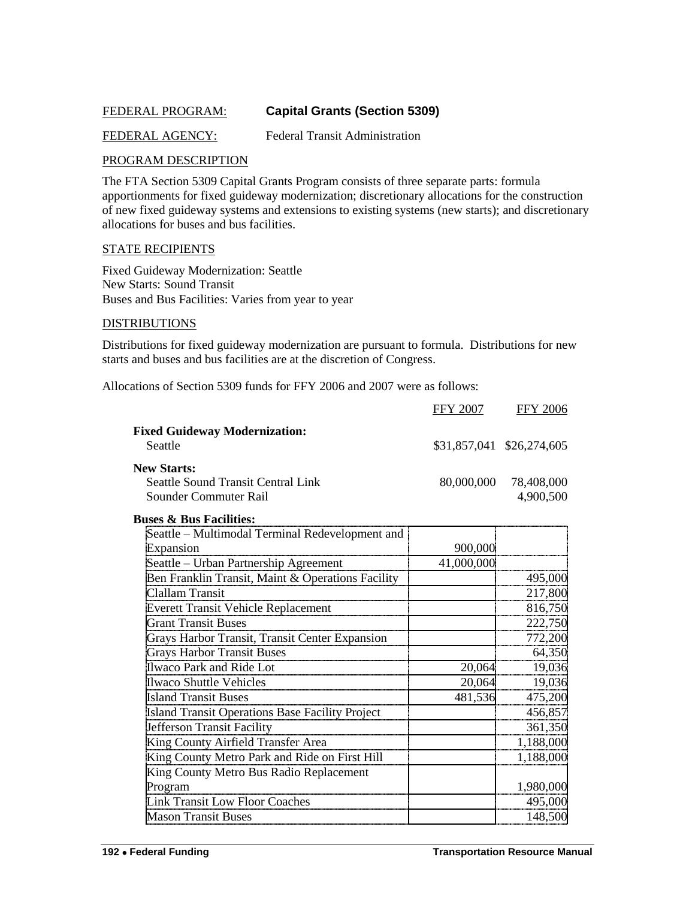### <span id="page-49-0"></span>FEDERAL PROGRAM: **Capital Grants (Section 5309)**

### FEDERAL AGENCY: Federal Transit Administration

### PROGRAM DESCRIPTION

The FTA Section 5309 Capital Grants Program consists of three separate parts: formula apportionments for fixed guideway modernization; discretionary allocations for the construction of new fixed guideway systems and extensions to existing systems (new starts); and discretionary allocations for buses and bus facilities.

#### STATE RECIPIENTS

Fixed Guideway Modernization: Seattle New Starts: Sound Transit Buses and Bus Facilities: Varies from year to year

#### DISTRIBUTIONS

Distributions for fixed guideway modernization are pursuant to formula. Distributions for new starts and buses and bus facilities are at the discretion of Congress.

Allocations of Section 5309 funds for FFY 2006 and 2007 were as follows:

|                                      | <b>FFY 2007</b> | <b>FFY 2006</b>           |
|--------------------------------------|-----------------|---------------------------|
| <b>Fixed Guideway Modernization:</b> |                 |                           |
| Seattle                              |                 | \$31,857,041 \$26,274,605 |
| <b>New Starts:</b>                   |                 |                           |
| Seattle Sound Transit Central Link   | 80,000,000      | 78.408.000                |
| Sounder Commuter Rail                |                 | 4.900.500                 |

#### **Buses & Bus Facilities:**

| Seattle – Multimodal Terminal Redevelopment and   |            |           |
|---------------------------------------------------|------------|-----------|
| Expansion                                         | 900,000    |           |
| Seattle - Urban Partnership Agreement             | 41,000,000 |           |
| Ben Franklin Transit, Maint & Operations Facility |            | 495,000   |
| Clallam Transit                                   |            | 217,800   |
| <b>Everett Transit Vehicle Replacement</b>        |            | 816,750   |
| <b>Grant Transit Buses</b>                        |            | 222,750   |
| Grays Harbor Transit, Transit Center Expansion    |            | 772,200   |
| <b>Grays Harbor Transit Buses</b>                 |            | 64,350    |
| Ilwaco Park and Ride Lot                          | 20,064     | 19,036    |
| <b>Ilwaco Shuttle Vehicles</b>                    | 20,064     | 19,036    |
| <b>Island Transit Buses</b>                       | 481,536    | 475,200   |
| Island Transit Operations Base Facility Project   |            | 456,857   |
| Jefferson Transit Facility                        |            | 361,350   |
| King County Airfield Transfer Area                |            | 1,188,000 |
| King County Metro Park and Ride on First Hill     |            | 1,188,000 |
| King County Metro Bus Radio Replacement           |            |           |
| Program                                           |            | 1,980,000 |
| <b>Link Transit Low Floor Coaches</b>             |            | 495,000   |
| <b>Mason Transit Buses</b>                        |            | 148,500   |
|                                                   |            |           |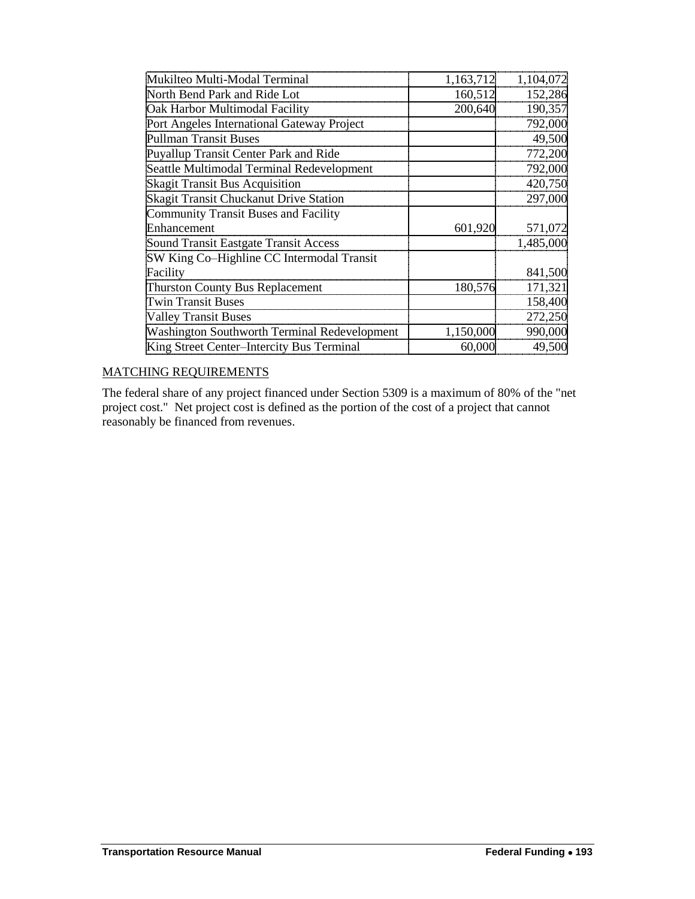| Mukilteo Multi-Modal Terminal                | 1,163,712 | 1,104,072 |
|----------------------------------------------|-----------|-----------|
| North Bend Park and Ride Lot                 | 160,512   | 152,286   |
| Oak Harbor Multimodal Facility               | 200,640   | 190,357   |
| Port Angeles International Gateway Project   |           | 792,000   |
| <b>Pullman Transit Buses</b>                 |           | 49,500    |
| Puyallup Transit Center Park and Ride        |           | 772,200   |
| Seattle Multimodal Terminal Redevelopment    |           | 792,000   |
| <b>Skagit Transit Bus Acquisition</b>        |           | 420,750   |
| Skagit Transit Chuckanut Drive Station       |           | 297,000   |
| <b>Community Transit Buses and Facility</b>  |           |           |
| Enhancement                                  | 601,920   | 571,072   |
| Sound Transit Eastgate Transit Access        |           | 1,485,000 |
| SW King Co-Highline CC Intermodal Transit    |           |           |
| Facility                                     |           | 841,500   |
| Thurston County Bus Replacement              | 180,576   | 171,321   |
| <b>Twin Transit Buses</b>                    |           | 158,400   |
| <b>Valley Transit Buses</b>                  |           | 272,250   |
| Washington Southworth Terminal Redevelopment | 1,150,000 | 990,000   |
| King Street Center-Intercity Bus Terminal    | 60,000    | 49,500    |

### MATCHING REQUIREMENTS

The federal share of any project financed under Section 5309 is a maximum of 80% of the "net project cost." Net project cost is defined as the portion of the cost of a project that cannot reasonably be financed from revenues.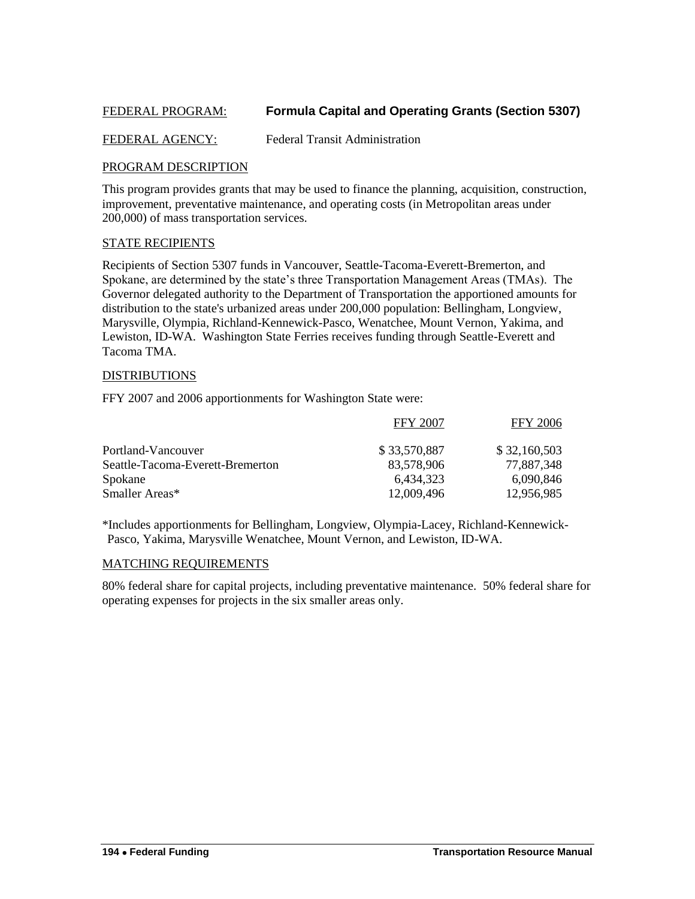### <span id="page-51-0"></span>FEDERAL PROGRAM: **Formula Capital and Operating Grants (Section 5307)**

### FEDERAL AGENCY: Federal Transit Administration

#### PROGRAM DESCRIPTION

This program provides grants that may be used to finance the planning, acquisition, construction, improvement, preventative maintenance, and operating costs (in Metropolitan areas under 200,000) of mass transportation services.

### STATE RECIPIENTS

Recipients of Section 5307 funds in Vancouver, Seattle-Tacoma-Everett-Bremerton, and Spokane, are determined by the state's three Transportation Management Areas (TMAs). The Governor delegated authority to the Department of Transportation the apportioned amounts for distribution to the state's urbanized areas under 200,000 population: Bellingham, Longview, Marysville, Olympia, Richland-Kennewick-Pasco, Wenatchee, Mount Vernon, Yakima, and Lewiston, ID-WA. Washington State Ferries receives funding through Seattle-Everett and Tacoma TMA.

#### DISTRIBUTIONS

FFY 2007 and 2006 apportionments for Washington State were:

|                                  | <b>FFY 2007</b> | <b>FFY 2006</b> |
|----------------------------------|-----------------|-----------------|
| Portland-Vancouver               | \$33,570,887    | \$32,160,503    |
| Seattle-Tacoma-Everett-Bremerton | 83,578,906      | 77,887,348      |
| Spokane                          | 6.434.323       | 6.090.846       |
| Smaller Areas*                   | 12,009,496      | 12.956.985      |

\*Includes apportionments for Bellingham, Longview, Olympia-Lacey, Richland-Kennewick-Pasco, Yakima, Marysville Wenatchee, Mount Vernon, and Lewiston, ID-WA.

#### MATCHING REQUIREMENTS

80% federal share for capital projects, including preventative maintenance. 50% federal share for operating expenses for projects in the six smaller areas only.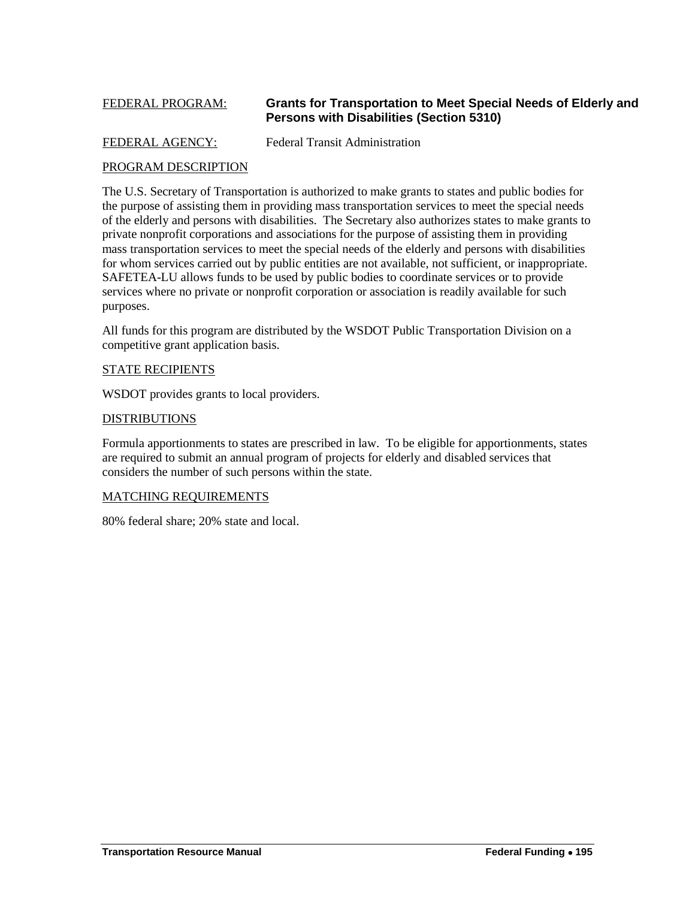### <span id="page-52-0"></span>FEDERAL PROGRAM: **Grants for Transportation to Meet Special Needs of Elderly and Persons with Disabilities (Section 5310)**

### FEDERAL AGENCY: Federal Transit Administration

### PROGRAM DESCRIPTION

The U.S. Secretary of Transportation is authorized to make grants to states and public bodies for the purpose of assisting them in providing mass transportation services to meet the special needs of the elderly and persons with disabilities. The Secretary also authorizes states to make grants to private nonprofit corporations and associations for the purpose of assisting them in providing mass transportation services to meet the special needs of the elderly and persons with disabilities for whom services carried out by public entities are not available, not sufficient, or inappropriate. SAFETEA-LU allows funds to be used by public bodies to coordinate services or to provide services where no private or nonprofit corporation or association is readily available for such purposes.

All funds for this program are distributed by the WSDOT Public Transportation Division on a competitive grant application basis.

### STATE RECIPIENTS

WSDOT provides grants to local providers.

#### DISTRIBUTIONS

Formula apportionments to states are prescribed in law. To be eligible for apportionments, states are required to submit an annual program of projects for elderly and disabled services that considers the number of such persons within the state.

### MATCHING REQUIREMENTS

80% federal share; 20% state and local.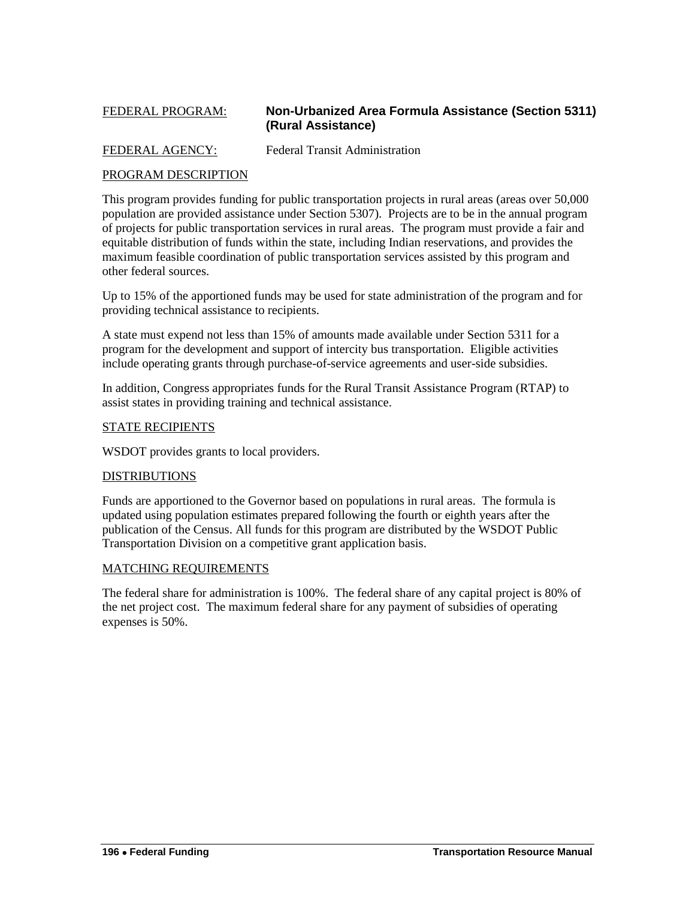### <span id="page-53-0"></span>FEDERAL PROGRAM: **Non-Urbanized Area Formula Assistance (Section 5311) (Rural Assistance)**

### FEDERAL AGENCY: Federal Transit Administration

### PROGRAM DESCRIPTION

This program provides funding for public transportation projects in rural areas (areas over 50,000 population are provided assistance under Section 5307). Projects are to be in the annual program of projects for public transportation services in rural areas. The program must provide a fair and equitable distribution of funds within the state, including Indian reservations, and provides the maximum feasible coordination of public transportation services assisted by this program and other federal sources.

Up to 15% of the apportioned funds may be used for state administration of the program and for providing technical assistance to recipients.

A state must expend not less than 15% of amounts made available under Section 5311 for a program for the development and support of intercity bus transportation. Eligible activities include operating grants through purchase-of-service agreements and user-side subsidies.

In addition, Congress appropriates funds for the Rural Transit Assistance Program (RTAP) to assist states in providing training and technical assistance.

#### STATE RECIPIENTS

WSDOT provides grants to local providers.

### DISTRIBUTIONS

Funds are apportioned to the Governor based on populations in rural areas. The formula is updated using population estimates prepared following the fourth or eighth years after the publication of the Census. All funds for this program are distributed by the WSDOT Public Transportation Division on a competitive grant application basis.

### MATCHING REQUIREMENTS

The federal share for administration is 100%. The federal share of any capital project is 80% of the net project cost. The maximum federal share for any payment of subsidies of operating expenses is 50%.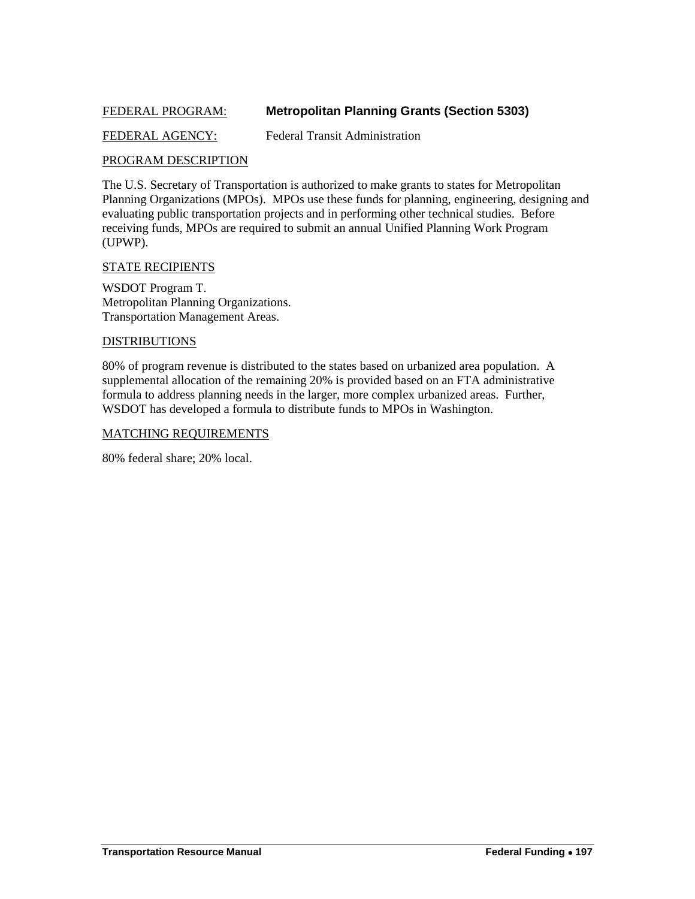### <span id="page-54-0"></span>FEDERAL PROGRAM: **Metropolitan Planning Grants (Section 5303)**

### FEDERAL AGENCY: Federal Transit Administration

### PROGRAM DESCRIPTION

The U.S. Secretary of Transportation is authorized to make grants to states for Metropolitan Planning Organizations (MPOs). MPOs use these funds for planning, engineering, designing and evaluating public transportation projects and in performing other technical studies. Before receiving funds, MPOs are required to submit an annual Unified Planning Work Program (UPWP).

#### STATE RECIPIENTS

WSDOT Program T. Metropolitan Planning Organizations. Transportation Management Areas.

#### DISTRIBUTIONS

80% of program revenue is distributed to the states based on urbanized area population. A supplemental allocation of the remaining 20% is provided based on an FTA administrative formula to address planning needs in the larger, more complex urbanized areas. Further, WSDOT has developed a formula to distribute funds to MPOs in Washington.

#### MATCHING REQUIREMENTS

80% federal share; 20% local.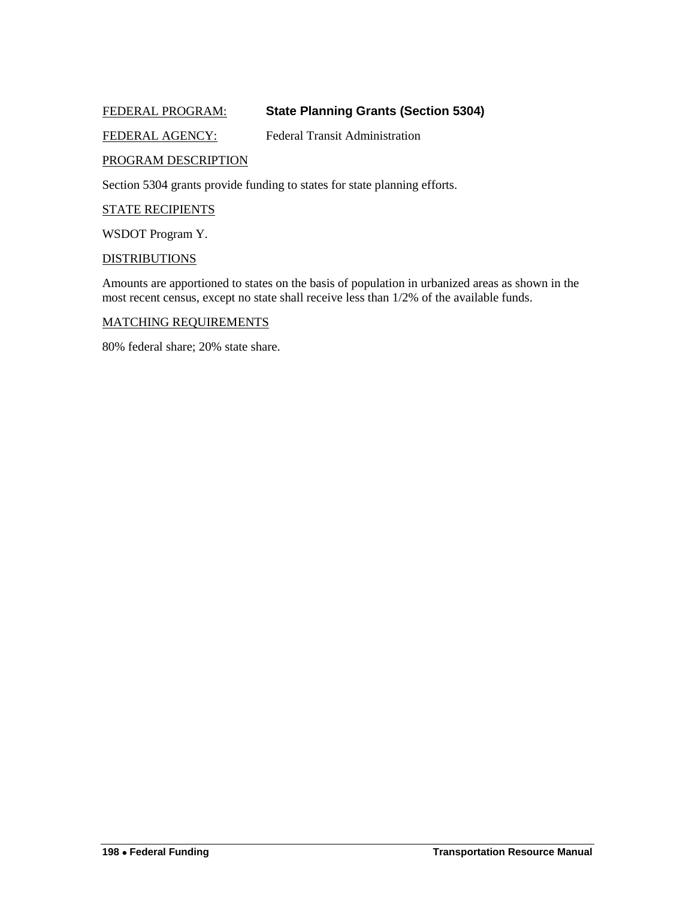### <span id="page-55-0"></span>FEDERAL PROGRAM: **State Planning Grants (Section 5304)**

### FEDERAL AGENCY: Federal Transit Administration

### PROGRAM DESCRIPTION

Section 5304 grants provide funding to states for state planning efforts.

#### STATE RECIPIENTS

WSDOT Program Y.

#### **DISTRIBUTIONS**

Amounts are apportioned to states on the basis of population in urbanized areas as shown in the most recent census, except no state shall receive less than 1/2% of the available funds.

#### MATCHING REQUIREMENTS

80% federal share; 20% state share.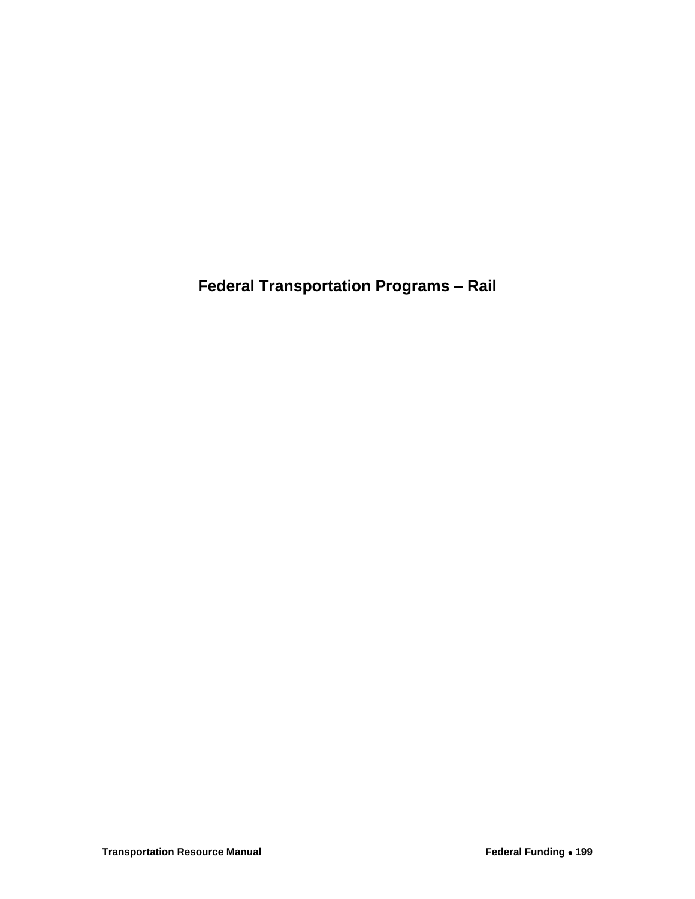<span id="page-56-0"></span>**Federal Transportation Programs – Rail**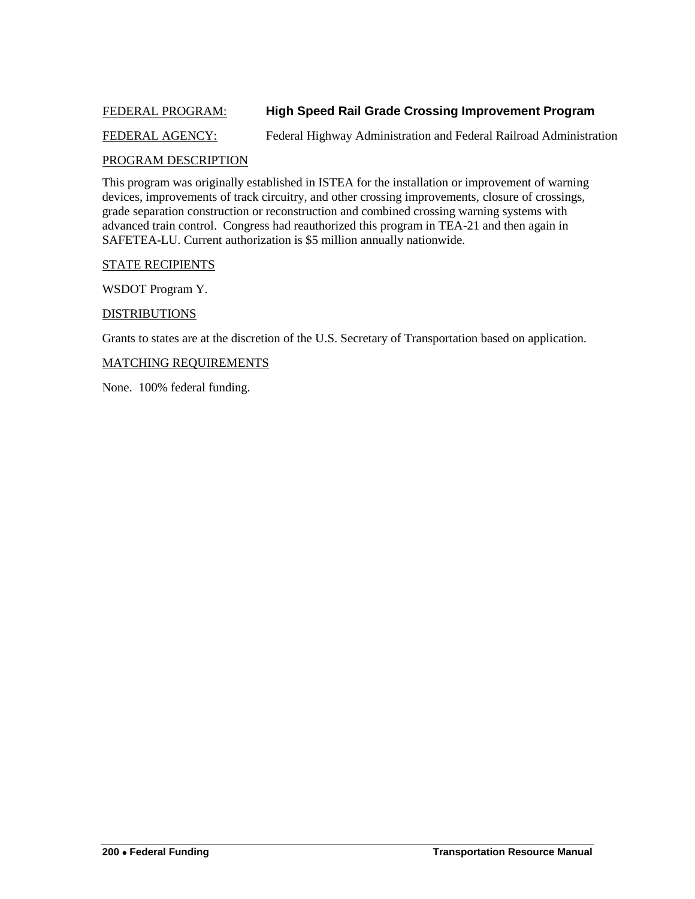### <span id="page-57-0"></span>FEDERAL PROGRAM: **High Speed Rail Grade Crossing Improvement Program**

### FEDERAL AGENCY: Federal Highway Administration and Federal Railroad Administration

### PROGRAM DESCRIPTION

This program was originally established in ISTEA for the installation or improvement of warning devices, improvements of track circuitry, and other crossing improvements, closure of crossings, grade separation construction or reconstruction and combined crossing warning systems with advanced train control. Congress had reauthorized this program in TEA-21 and then again in SAFETEA-LU. Current authorization is \$5 million annually nationwide.

#### STATE RECIPIENTS

WSDOT Program Y.

#### DISTRIBUTIONS

Grants to states are at the discretion of the U.S. Secretary of Transportation based on application.

#### MATCHING REQUIREMENTS

None. 100% federal funding.